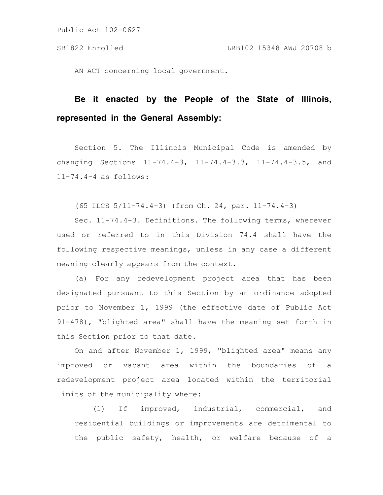AN ACT concerning local government.

# **Be it enacted by the People of the State of Illinois, represented in the General Assembly:**

Section 5. The Illinois Municipal Code is amended by changing Sections 11-74.4-3, 11-74.4-3.3, 11-74.4-3.5, and 11-74.4-4 as follows:

(65 ILCS 5/11-74.4-3) (from Ch. 24, par. 11-74.4-3)

Sec. 11-74.4-3. Definitions. The following terms, wherever used or referred to in this Division 74.4 shall have the following respective meanings, unless in any case a different meaning clearly appears from the context.

(a) For any redevelopment project area that has been designated pursuant to this Section by an ordinance adopted prior to November 1, 1999 (the effective date of Public Act 91-478), "blighted area" shall have the meaning set forth in this Section prior to that date.

On and after November 1, 1999, "blighted area" means any improved or vacant area within the boundaries of a redevelopment project area located within the territorial limits of the municipality where:

(1) If improved, industrial, commercial, and residential buildings or improvements are detrimental to the public safety, health, or welfare because of a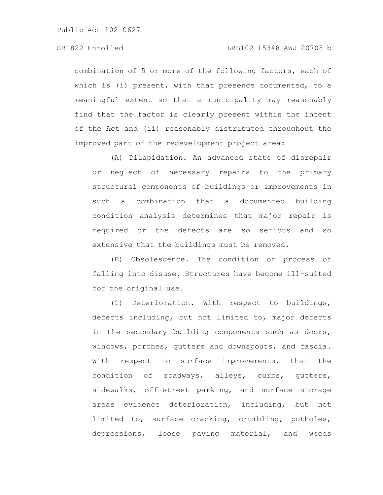### SB1822 Enrolled LRB102 15348 AWJ 20708 b

combination of 5 or more of the following factors, each of which is (i) present, with that presence documented, to a meaningful extent so that a municipality may reasonably find that the factor is clearly present within the intent of the Act and (ii) reasonably distributed throughout the improved part of the redevelopment project area:

(A) Dilapidation. An advanced state of disrepair or neglect of necessary repairs to the primary structural components of buildings or improvements in such a combination that a documented building condition analysis determines that major repair is required or the defects are so serious and so extensive that the buildings must be removed.

(B) Obsolescence. The condition or process of falling into disuse. Structures have become ill-suited for the original use.

(C) Deterioration. With respect to buildings, defects including, but not limited to, major defects in the secondary building components such as doors, windows, porches, gutters and downspouts, and fascia. With respect to surface improvements, that the condition of roadways, alleys, curbs, gutters, sidewalks, off-street parking, and surface storage areas evidence deterioration, including, but not limited to, surface cracking, crumbling, potholes, depressions, loose paving material, and weeds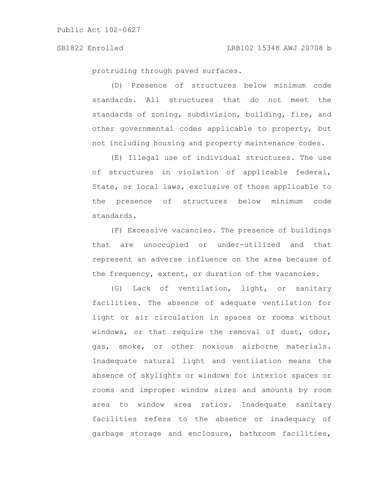protruding through paved surfaces.

(D) Presence of structures below minimum code standards. All structures that do not meet the standards of zoning, subdivision, building, fire, and other governmental codes applicable to property, but not including housing and property maintenance codes.

(E) Illegal use of individual structures. The use of structures in violation of applicable federal, State, or local laws, exclusive of those applicable to the presence of structures below minimum code standards.

(F) Excessive vacancies. The presence of buildings that are unoccupied or under-utilized and that represent an adverse influence on the area because of the frequency, extent, or duration of the vacancies.

(G) Lack of ventilation, light, or sanitary facilities. The absence of adequate ventilation for light or air circulation in spaces or rooms without windows, or that require the removal of dust, odor, gas, smoke, or other noxious airborne materials. Inadequate natural light and ventilation means the absence of skylights or windows for interior spaces or rooms and improper window sizes and amounts by room area to window area ratios. Inadequate sanitary facilities refers to the absence or inadequacy of garbage storage and enclosure, bathroom facilities,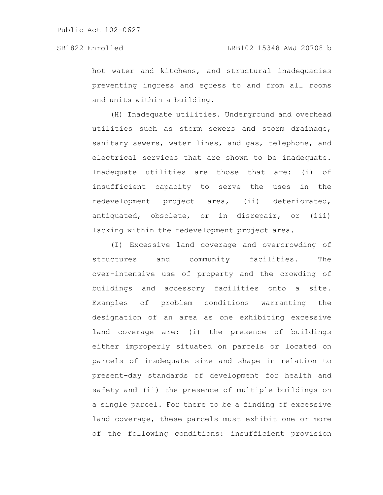hot water and kitchens, and structural inadequacies preventing ingress and egress to and from all rooms and units within a building.

(H) Inadequate utilities. Underground and overhead utilities such as storm sewers and storm drainage, sanitary sewers, water lines, and gas, telephone, and electrical services that are shown to be inadequate. Inadequate utilities are those that are: (i) of insufficient capacity to serve the uses in the redevelopment project area, (ii) deteriorated, antiquated, obsolete, or in disrepair, or (iii) lacking within the redevelopment project area.

(I) Excessive land coverage and overcrowding of structures and community facilities. The over-intensive use of property and the crowding of buildings and accessory facilities onto a site. Examples of problem conditions warranting the designation of an area as one exhibiting excessive land coverage are: (i) the presence of buildings either improperly situated on parcels or located on parcels of inadequate size and shape in relation to present-day standards of development for health and safety and (ii) the presence of multiple buildings on a single parcel. For there to be a finding of excessive land coverage, these parcels must exhibit one or more of the following conditions: insufficient provision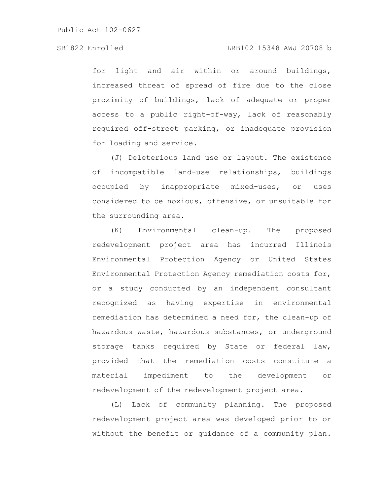for light and air within or around buildings, increased threat of spread of fire due to the close proximity of buildings, lack of adequate or proper access to a public right-of-way, lack of reasonably required off-street parking, or inadequate provision for loading and service.

(J) Deleterious land use or layout. The existence of incompatible land-use relationships, buildings occupied by inappropriate mixed-uses, or uses considered to be noxious, offensive, or unsuitable for the surrounding area.

(K) Environmental clean-up. The proposed redevelopment project area has incurred Illinois Environmental Protection Agency or United States Environmental Protection Agency remediation costs for, or a study conducted by an independent consultant recognized as having expertise in environmental remediation has determined a need for, the clean-up of hazardous waste, hazardous substances, or underground storage tanks required by State or federal law, provided that the remediation costs constitute a material impediment to the development or redevelopment of the redevelopment project area.

(L) Lack of community planning. The proposed redevelopment project area was developed prior to or without the benefit or guidance of a community plan.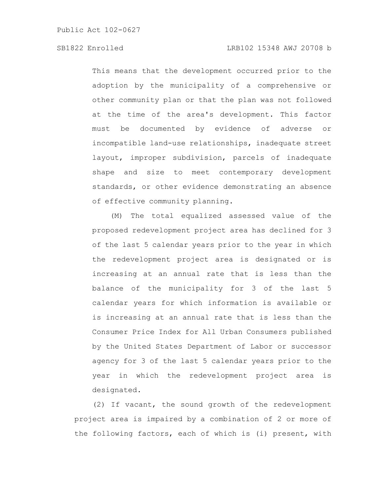# SB1822 Enrolled LRB102 15348 AWJ 20708 b

This means that the development occurred prior to the adoption by the municipality of a comprehensive or other community plan or that the plan was not followed at the time of the area's development. This factor must be documented by evidence of adverse or incompatible land-use relationships, inadequate street layout, improper subdivision, parcels of inadequate shape and size to meet contemporary development standards, or other evidence demonstrating an absence of effective community planning.

(M) The total equalized assessed value of the proposed redevelopment project area has declined for 3 of the last 5 calendar years prior to the year in which the redevelopment project area is designated or is increasing at an annual rate that is less than the balance of the municipality for 3 of the last 5 calendar years for which information is available or is increasing at an annual rate that is less than the Consumer Price Index for All Urban Consumers published by the United States Department of Labor or successor agency for 3 of the last 5 calendar years prior to the year in which the redevelopment project area is designated.

(2) If vacant, the sound growth of the redevelopment project area is impaired by a combination of 2 or more of the following factors, each of which is (i) present, with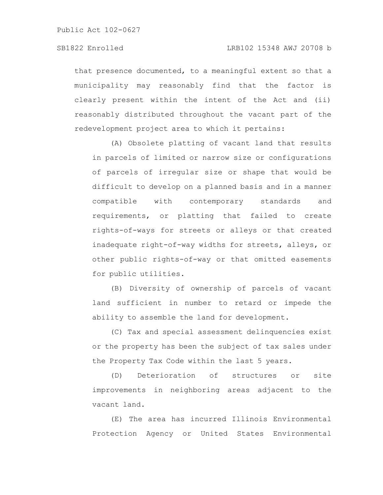that presence documented, to a meaningful extent so that a municipality may reasonably find that the factor is clearly present within the intent of the Act and (ii) reasonably distributed throughout the vacant part of the redevelopment project area to which it pertains:

(A) Obsolete platting of vacant land that results in parcels of limited or narrow size or configurations of parcels of irregular size or shape that would be difficult to develop on a planned basis and in a manner compatible with contemporary standards and requirements, or platting that failed to create rights-of-ways for streets or alleys or that created inadequate right-of-way widths for streets, alleys, or other public rights-of-way or that omitted easements for public utilities.

(B) Diversity of ownership of parcels of vacant land sufficient in number to retard or impede the ability to assemble the land for development.

(C) Tax and special assessment delinquencies exist or the property has been the subject of tax sales under the Property Tax Code within the last 5 years.

(D) Deterioration of structures or site improvements in neighboring areas adjacent to the vacant land.

(E) The area has incurred Illinois Environmental Protection Agency or United States Environmental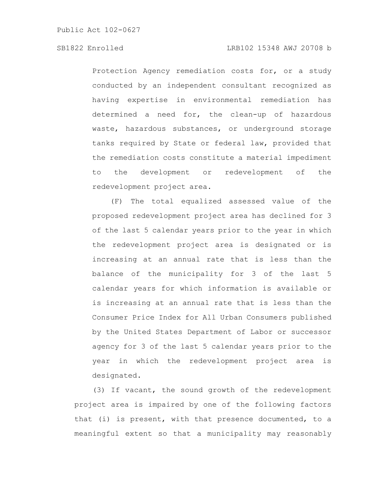Protection Agency remediation costs for, or a study conducted by an independent consultant recognized as having expertise in environmental remediation has determined a need for, the clean-up of hazardous waste, hazardous substances, or underground storage tanks required by State or federal law, provided that the remediation costs constitute a material impediment to the development or redevelopment of the redevelopment project area.

(F) The total equalized assessed value of the proposed redevelopment project area has declined for 3 of the last 5 calendar years prior to the year in which the redevelopment project area is designated or is increasing at an annual rate that is less than the balance of the municipality for 3 of the last 5 calendar years for which information is available or is increasing at an annual rate that is less than the Consumer Price Index for All Urban Consumers published by the United States Department of Labor or successor agency for 3 of the last 5 calendar years prior to the year in which the redevelopment project area is designated.

(3) If vacant, the sound growth of the redevelopment project area is impaired by one of the following factors that (i) is present, with that presence documented, to a meaningful extent so that a municipality may reasonably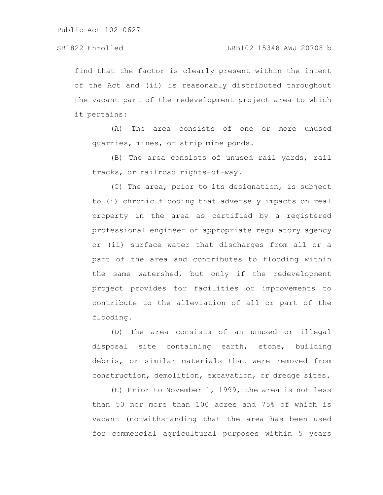find that the factor is clearly present within the intent of the Act and (ii) is reasonably distributed throughout the vacant part of the redevelopment project area to which it pertains:

(A) The area consists of one or more unused quarries, mines, or strip mine ponds.

(B) The area consists of unused rail yards, rail tracks, or railroad rights-of-way.

(C) The area, prior to its designation, is subject to (i) chronic flooding that adversely impacts on real property in the area as certified by a registered professional engineer or appropriate regulatory agency or (ii) surface water that discharges from all or a part of the area and contributes to flooding within the same watershed, but only if the redevelopment project provides for facilities or improvements to contribute to the alleviation of all or part of the flooding.

(D) The area consists of an unused or illegal disposal site containing earth, stone, building debris, or similar materials that were removed from construction, demolition, excavation, or dredge sites.

(E) Prior to November 1, 1999, the area is not less than 50 nor more than 100 acres and 75% of which is vacant (notwithstanding that the area has been used for commercial agricultural purposes within 5 years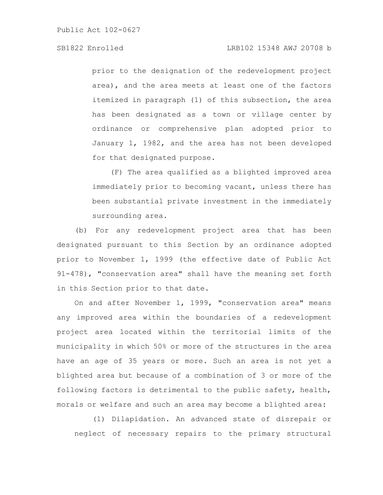### SB1822 Enrolled LRB102 15348 AWJ 20708 b

prior to the designation of the redevelopment project area), and the area meets at least one of the factors itemized in paragraph (1) of this subsection, the area has been designated as a town or village center by ordinance or comprehensive plan adopted prior to January 1, 1982, and the area has not been developed for that designated purpose.

(F) The area qualified as a blighted improved area immediately prior to becoming vacant, unless there has been substantial private investment in the immediately surrounding area.

(b) For any redevelopment project area that has been designated pursuant to this Section by an ordinance adopted prior to November 1, 1999 (the effective date of Public Act 91-478), "conservation area" shall have the meaning set forth in this Section prior to that date.

On and after November 1, 1999, "conservation area" means any improved area within the boundaries of a redevelopment project area located within the territorial limits of the municipality in which 50% or more of the structures in the area have an age of 35 years or more. Such an area is not yet a blighted area but because of a combination of 3 or more of the following factors is detrimental to the public safety, health, morals or welfare and such an area may become a blighted area:

(1) Dilapidation. An advanced state of disrepair or neglect of necessary repairs to the primary structural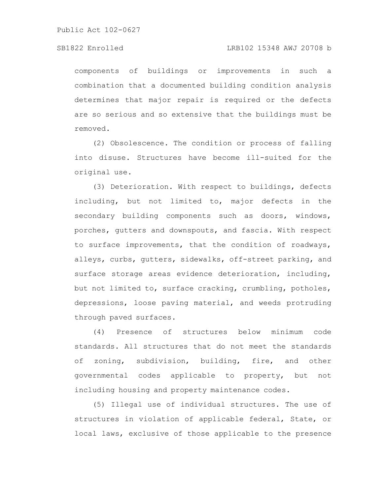#### SB1822 Enrolled LRB102 15348 AWJ 20708 b

components of buildings or improvements in such a combination that a documented building condition analysis determines that major repair is required or the defects are so serious and so extensive that the buildings must be removed.

(2) Obsolescence. The condition or process of falling into disuse. Structures have become ill-suited for the original use.

(3) Deterioration. With respect to buildings, defects including, but not limited to, major defects in the secondary building components such as doors, windows, porches, gutters and downspouts, and fascia. With respect to surface improvements, that the condition of roadways, alleys, curbs, gutters, sidewalks, off-street parking, and surface storage areas evidence deterioration, including, but not limited to, surface cracking, crumbling, potholes, depressions, loose paving material, and weeds protruding through paved surfaces.

(4) Presence of structures below minimum code standards. All structures that do not meet the standards of zoning, subdivision, building, fire, and other governmental codes applicable to property, but not including housing and property maintenance codes.

(5) Illegal use of individual structures. The use of structures in violation of applicable federal, State, or local laws, exclusive of those applicable to the presence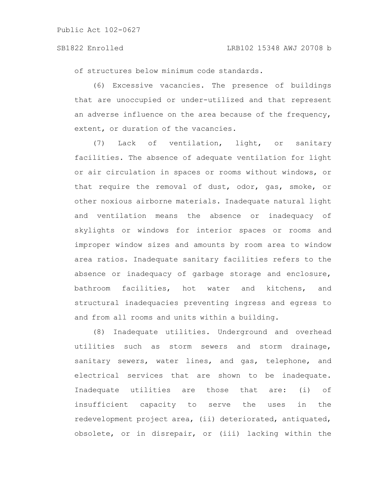of structures below minimum code standards.

(6) Excessive vacancies. The presence of buildings that are unoccupied or under-utilized and that represent an adverse influence on the area because of the frequency, extent, or duration of the vacancies.

(7) Lack of ventilation, light, or sanitary facilities. The absence of adequate ventilation for light or air circulation in spaces or rooms without windows, or that require the removal of dust, odor, gas, smoke, or other noxious airborne materials. Inadequate natural light and ventilation means the absence or inadequacy of skylights or windows for interior spaces or rooms and improper window sizes and amounts by room area to window area ratios. Inadequate sanitary facilities refers to the absence or inadequacy of garbage storage and enclosure, bathroom facilities, hot water and kitchens, and structural inadequacies preventing ingress and egress to and from all rooms and units within a building.

(8) Inadequate utilities. Underground and overhead utilities such as storm sewers and storm drainage, sanitary sewers, water lines, and gas, telephone, and electrical services that are shown to be inadequate. Inadequate utilities are those that are: (i) of insufficient capacity to serve the uses in the redevelopment project area, (ii) deteriorated, antiquated, obsolete, or in disrepair, or (iii) lacking within the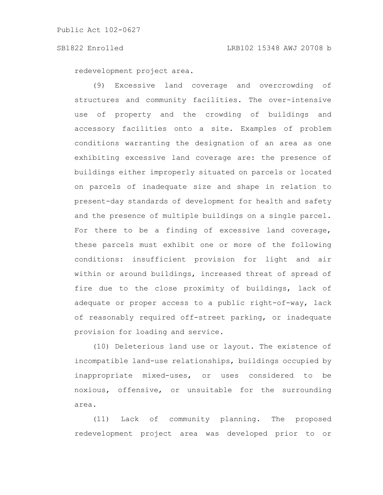redevelopment project area.

(9) Excessive land coverage and overcrowding of structures and community facilities. The over-intensive use of property and the crowding of buildings and accessory facilities onto a site. Examples of problem conditions warranting the designation of an area as one exhibiting excessive land coverage are: the presence of buildings either improperly situated on parcels or located on parcels of inadequate size and shape in relation to present-day standards of development for health and safety and the presence of multiple buildings on a single parcel. For there to be a finding of excessive land coverage, these parcels must exhibit one or more of the following conditions: insufficient provision for light and air within or around buildings, increased threat of spread of fire due to the close proximity of buildings, lack of adequate or proper access to a public right-of-way, lack of reasonably required off-street parking, or inadequate provision for loading and service.

(10) Deleterious land use or layout. The existence of incompatible land-use relationships, buildings occupied by inappropriate mixed-uses, or uses considered to be noxious, offensive, or unsuitable for the surrounding area.

(11) Lack of community planning. The proposed redevelopment project area was developed prior to or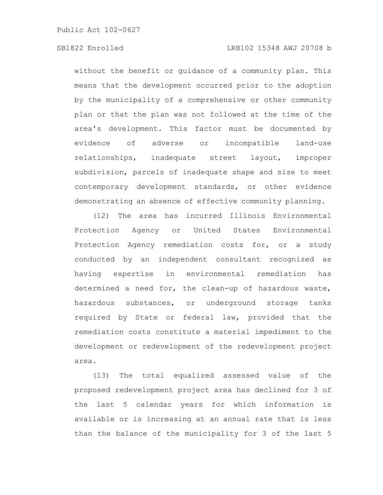### SB1822 Enrolled LRB102 15348 AWJ 20708 b

without the benefit or guidance of a community plan. This means that the development occurred prior to the adoption by the municipality of a comprehensive or other community plan or that the plan was not followed at the time of the area's development. This factor must be documented by evidence of adverse or incompatible land-use relationships, inadequate street layout, improper subdivision, parcels of inadequate shape and size to meet contemporary development standards, or other evidence demonstrating an absence of effective community planning.

(12) The area has incurred Illinois Environmental Protection Agency or United States Environmental Protection Agency remediation costs for, or a study conducted by an independent consultant recognized as having expertise in environmental remediation has determined a need for, the clean-up of hazardous waste, hazardous substances, or underground storage tanks required by State or federal law, provided that the remediation costs constitute a material impediment to the development or redevelopment of the redevelopment project area.

(13) The total equalized assessed value of the proposed redevelopment project area has declined for 3 of the last 5 calendar years for which information is available or is increasing at an annual rate that is less than the balance of the municipality for 3 of the last 5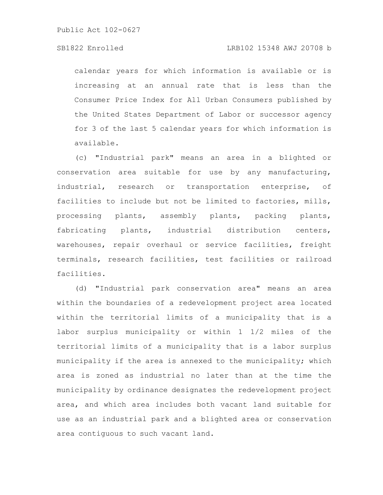### SB1822 Enrolled LRB102 15348 AWJ 20708 b

calendar years for which information is available or is increasing at an annual rate that is less than the Consumer Price Index for All Urban Consumers published by the United States Department of Labor or successor agency for 3 of the last 5 calendar years for which information is available.

(c) "Industrial park" means an area in a blighted or conservation area suitable for use by any manufacturing, industrial, research or transportation enterprise, of facilities to include but not be limited to factories, mills, processing plants, assembly plants, packing plants, fabricating plants, industrial distribution centers, warehouses, repair overhaul or service facilities, freight terminals, research facilities, test facilities or railroad facilities.

(d) "Industrial park conservation area" means an area within the boundaries of a redevelopment project area located within the territorial limits of a municipality that is a labor surplus municipality or within 1 1/2 miles of the territorial limits of a municipality that is a labor surplus municipality if the area is annexed to the municipality; which area is zoned as industrial no later than at the time the municipality by ordinance designates the redevelopment project area, and which area includes both vacant land suitable for use as an industrial park and a blighted area or conservation area contiguous to such vacant land.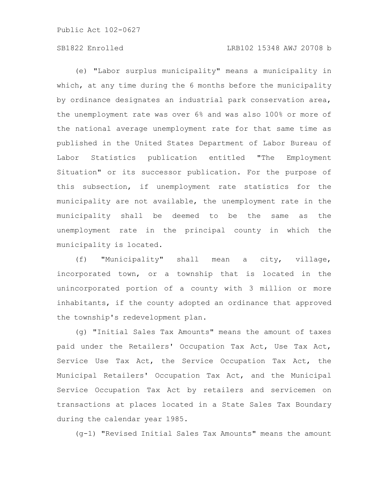# SB1822 Enrolled LRB102 15348 AWJ 20708 b

(e) "Labor surplus municipality" means a municipality in which, at any time during the 6 months before the municipality by ordinance designates an industrial park conservation area, the unemployment rate was over 6% and was also 100% or more of the national average unemployment rate for that same time as published in the United States Department of Labor Bureau of Labor Statistics publication entitled "The Employment Situation" or its successor publication. For the purpose of this subsection, if unemployment rate statistics for the municipality are not available, the unemployment rate in the municipality shall be deemed to be the same as the unemployment rate in the principal county in which the municipality is located.

(f) "Municipality" shall mean a city, village, incorporated town, or a township that is located in the unincorporated portion of a county with 3 million or more inhabitants, if the county adopted an ordinance that approved the township's redevelopment plan.

(g) "Initial Sales Tax Amounts" means the amount of taxes paid under the Retailers' Occupation Tax Act, Use Tax Act, Service Use Tax Act, the Service Occupation Tax Act, the Municipal Retailers' Occupation Tax Act, and the Municipal Service Occupation Tax Act by retailers and servicemen on transactions at places located in a State Sales Tax Boundary during the calendar year 1985.

(g-1) "Revised Initial Sales Tax Amounts" means the amount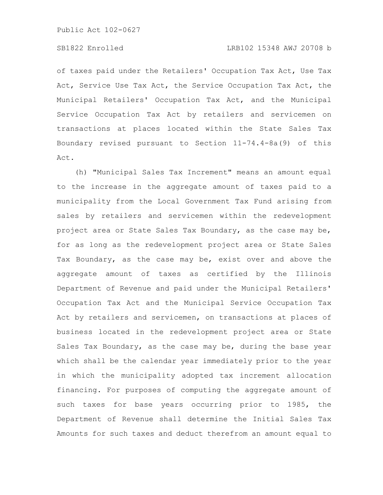of taxes paid under the Retailers' Occupation Tax Act, Use Tax Act, Service Use Tax Act, the Service Occupation Tax Act, the Municipal Retailers' Occupation Tax Act, and the Municipal Service Occupation Tax Act by retailers and servicemen on transactions at places located within the State Sales Tax Boundary revised pursuant to Section 11-74.4-8a(9) of this Act.

(h) "Municipal Sales Tax Increment" means an amount equal to the increase in the aggregate amount of taxes paid to a municipality from the Local Government Tax Fund arising from sales by retailers and servicemen within the redevelopment project area or State Sales Tax Boundary, as the case may be, for as long as the redevelopment project area or State Sales Tax Boundary, as the case may be, exist over and above the aggregate amount of taxes as certified by the Illinois Department of Revenue and paid under the Municipal Retailers' Occupation Tax Act and the Municipal Service Occupation Tax Act by retailers and servicemen, on transactions at places of business located in the redevelopment project area or State Sales Tax Boundary, as the case may be, during the base year which shall be the calendar year immediately prior to the year in which the municipality adopted tax increment allocation financing. For purposes of computing the aggregate amount of such taxes for base years occurring prior to 1985, the Department of Revenue shall determine the Initial Sales Tax Amounts for such taxes and deduct therefrom an amount equal to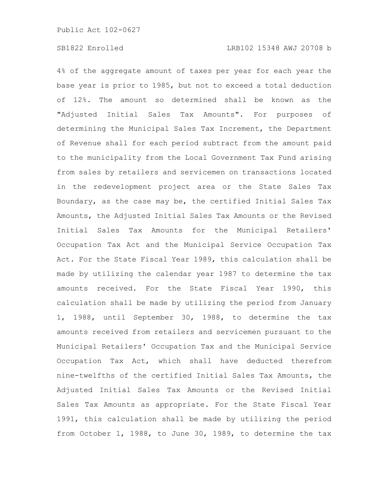4% of the aggregate amount of taxes per year for each year the base year is prior to 1985, but not to exceed a total deduction of 12%. The amount so determined shall be known as the "Adjusted Initial Sales Tax Amounts". For purposes of determining the Municipal Sales Tax Increment, the Department of Revenue shall for each period subtract from the amount paid to the municipality from the Local Government Tax Fund arising from sales by retailers and servicemen on transactions located in the redevelopment project area or the State Sales Tax Boundary, as the case may be, the certified Initial Sales Tax Amounts, the Adjusted Initial Sales Tax Amounts or the Revised Initial Sales Tax Amounts for the Municipal Retailers' Occupation Tax Act and the Municipal Service Occupation Tax Act. For the State Fiscal Year 1989, this calculation shall be made by utilizing the calendar year 1987 to determine the tax amounts received. For the State Fiscal Year 1990, this calculation shall be made by utilizing the period from January 1, 1988, until September 30, 1988, to determine the tax amounts received from retailers and servicemen pursuant to the Municipal Retailers' Occupation Tax and the Municipal Service Occupation Tax Act, which shall have deducted therefrom nine-twelfths of the certified Initial Sales Tax Amounts, the Adjusted Initial Sales Tax Amounts or the Revised Initial Sales Tax Amounts as appropriate. For the State Fiscal Year 1991, this calculation shall be made by utilizing the period from October 1, 1988, to June 30, 1989, to determine the tax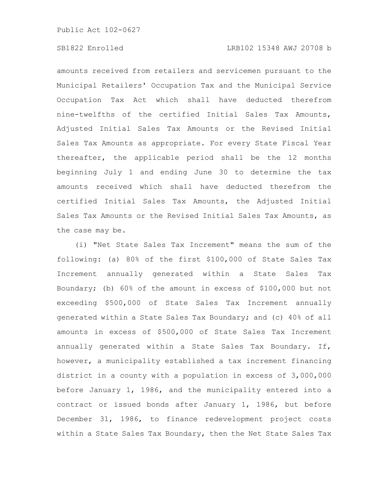### SB1822 Enrolled LRB102 15348 AWJ 20708 b

amounts received from retailers and servicemen pursuant to the Municipal Retailers' Occupation Tax and the Municipal Service Occupation Tax Act which shall have deducted therefrom nine-twelfths of the certified Initial Sales Tax Amounts, Adjusted Initial Sales Tax Amounts or the Revised Initial Sales Tax Amounts as appropriate. For every State Fiscal Year thereafter, the applicable period shall be the 12 months beginning July 1 and ending June 30 to determine the tax amounts received which shall have deducted therefrom the certified Initial Sales Tax Amounts, the Adjusted Initial Sales Tax Amounts or the Revised Initial Sales Tax Amounts, as the case may be.

(i) "Net State Sales Tax Increment" means the sum of the following: (a) 80% of the first \$100,000 of State Sales Tax Increment annually generated within a State Sales Tax Boundary; (b) 60% of the amount in excess of \$100,000 but not exceeding \$500,000 of State Sales Tax Increment annually generated within a State Sales Tax Boundary; and (c) 40% of all amounts in excess of \$500,000 of State Sales Tax Increment annually generated within a State Sales Tax Boundary. If, however, a municipality established a tax increment financing district in a county with a population in excess of 3,000,000 before January 1, 1986, and the municipality entered into a contract or issued bonds after January 1, 1986, but before December 31, 1986, to finance redevelopment project costs within a State Sales Tax Boundary, then the Net State Sales Tax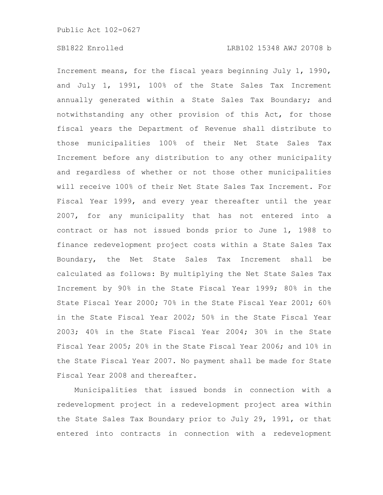Increment means, for the fiscal years beginning July 1, 1990, and July 1, 1991, 100% of the State Sales Tax Increment annually generated within a State Sales Tax Boundary; and notwithstanding any other provision of this Act, for those fiscal years the Department of Revenue shall distribute to those municipalities 100% of their Net State Sales Tax Increment before any distribution to any other municipality and regardless of whether or not those other municipalities will receive 100% of their Net State Sales Tax Increment. For Fiscal Year 1999, and every year thereafter until the year 2007, for any municipality that has not entered into a contract or has not issued bonds prior to June 1, 1988 to finance redevelopment project costs within a State Sales Tax Boundary, the Net State Sales Tax Increment shall be calculated as follows: By multiplying the Net State Sales Tax Increment by 90% in the State Fiscal Year 1999; 80% in the State Fiscal Year 2000; 70% in the State Fiscal Year 2001; 60% in the State Fiscal Year 2002; 50% in the State Fiscal Year 2003; 40% in the State Fiscal Year 2004; 30% in the State Fiscal Year 2005; 20% in the State Fiscal Year 2006; and 10% in the State Fiscal Year 2007. No payment shall be made for State Fiscal Year 2008 and thereafter.

Municipalities that issued bonds in connection with a redevelopment project in a redevelopment project area within the State Sales Tax Boundary prior to July 29, 1991, or that entered into contracts in connection with a redevelopment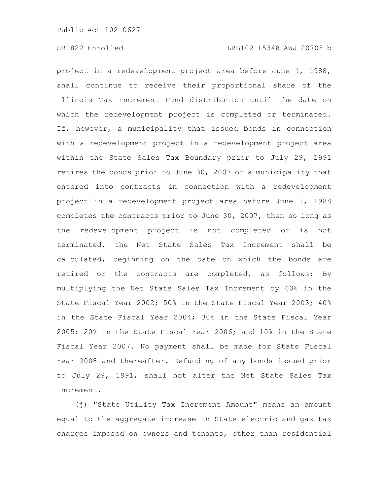project in a redevelopment project area before June 1, 1988, shall continue to receive their proportional share of the Illinois Tax Increment Fund distribution until the date on which the redevelopment project is completed or terminated. If, however, a municipality that issued bonds in connection with a redevelopment project in a redevelopment project area within the State Sales Tax Boundary prior to July 29, 1991 retires the bonds prior to June 30, 2007 or a municipality that entered into contracts in connection with a redevelopment project in a redevelopment project area before June 1, 1988 completes the contracts prior to June 30, 2007, then so long as the redevelopment project is not completed or is not terminated, the Net State Sales Tax Increment shall be calculated, beginning on the date on which the bonds are retired or the contracts are completed, as follows: By multiplying the Net State Sales Tax Increment by 60% in the State Fiscal Year 2002; 50% in the State Fiscal Year 2003; 40% in the State Fiscal Year 2004; 30% in the State Fiscal Year 2005; 20% in the State Fiscal Year 2006; and 10% in the State Fiscal Year 2007. No payment shall be made for State Fiscal Year 2008 and thereafter. Refunding of any bonds issued prior to July 29, 1991, shall not alter the Net State Sales Tax Increment.

(j) "State Utility Tax Increment Amount" means an amount equal to the aggregate increase in State electric and gas tax charges imposed on owners and tenants, other than residential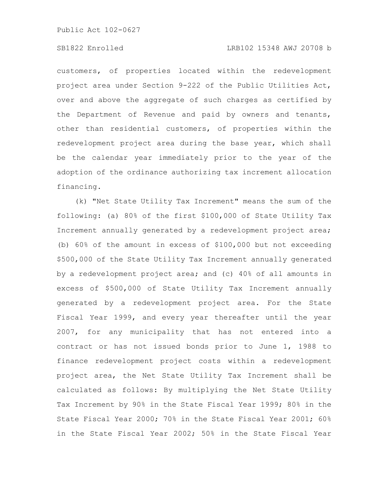### SB1822 Enrolled LRB102 15348 AWJ 20708 b

customers, of properties located within the redevelopment project area under Section 9-222 of the Public Utilities Act, over and above the aggregate of such charges as certified by the Department of Revenue and paid by owners and tenants, other than residential customers, of properties within the redevelopment project area during the base year, which shall be the calendar year immediately prior to the year of the adoption of the ordinance authorizing tax increment allocation financing.

(k) "Net State Utility Tax Increment" means the sum of the following: (a) 80% of the first \$100,000 of State Utility Tax Increment annually generated by a redevelopment project area; (b) 60% of the amount in excess of \$100,000 but not exceeding \$500,000 of the State Utility Tax Increment annually generated by a redevelopment project area; and (c) 40% of all amounts in excess of \$500,000 of State Utility Tax Increment annually generated by a redevelopment project area. For the State Fiscal Year 1999, and every year thereafter until the year 2007, for any municipality that has not entered into a contract or has not issued bonds prior to June 1, 1988 to finance redevelopment project costs within a redevelopment project area, the Net State Utility Tax Increment shall be calculated as follows: By multiplying the Net State Utility Tax Increment by 90% in the State Fiscal Year 1999; 80% in the State Fiscal Year 2000; 70% in the State Fiscal Year 2001; 60% in the State Fiscal Year 2002; 50% in the State Fiscal Year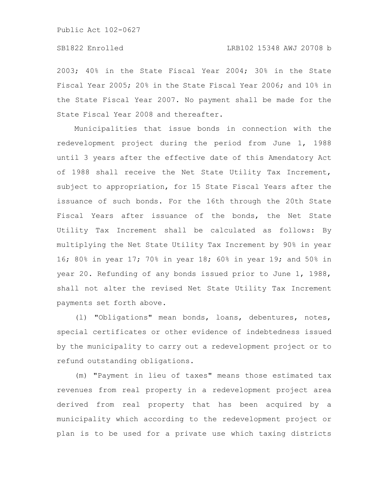2003; 40% in the State Fiscal Year 2004; 30% in the State Fiscal Year 2005; 20% in the State Fiscal Year 2006; and 10% in the State Fiscal Year 2007. No payment shall be made for the State Fiscal Year 2008 and thereafter.

Municipalities that issue bonds in connection with the redevelopment project during the period from June 1, 1988 until 3 years after the effective date of this Amendatory Act of 1988 shall receive the Net State Utility Tax Increment, subject to appropriation, for 15 State Fiscal Years after the issuance of such bonds. For the 16th through the 20th State Fiscal Years after issuance of the bonds, the Net State Utility Tax Increment shall be calculated as follows: By multiplying the Net State Utility Tax Increment by 90% in year 16; 80% in year 17; 70% in year 18; 60% in year 19; and 50% in year 20. Refunding of any bonds issued prior to June 1, 1988, shall not alter the revised Net State Utility Tax Increment payments set forth above.

(l) "Obligations" mean bonds, loans, debentures, notes, special certificates or other evidence of indebtedness issued by the municipality to carry out a redevelopment project or to refund outstanding obligations.

(m) "Payment in lieu of taxes" means those estimated tax revenues from real property in a redevelopment project area derived from real property that has been acquired by a municipality which according to the redevelopment project or plan is to be used for a private use which taxing districts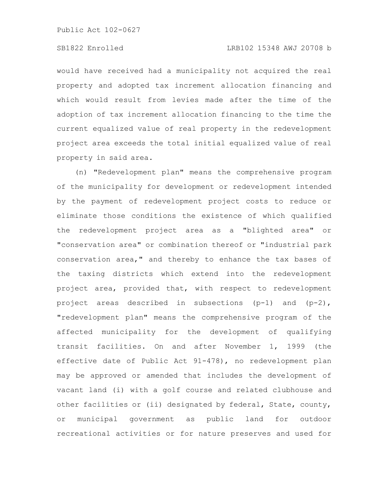### SB1822 Enrolled LRB102 15348 AWJ 20708 b

would have received had a municipality not acquired the real property and adopted tax increment allocation financing and which would result from levies made after the time of the adoption of tax increment allocation financing to the time the current equalized value of real property in the redevelopment project area exceeds the total initial equalized value of real property in said area.

(n) "Redevelopment plan" means the comprehensive program of the municipality for development or redevelopment intended by the payment of redevelopment project costs to reduce or eliminate those conditions the existence of which qualified the redevelopment project area as a "blighted area" or "conservation area" or combination thereof or "industrial park conservation area," and thereby to enhance the tax bases of the taxing districts which extend into the redevelopment project area, provided that, with respect to redevelopment project areas described in subsections (p-1) and (p-2), "redevelopment plan" means the comprehensive program of the affected municipality for the development of qualifying transit facilities. On and after November 1, 1999 (the effective date of Public Act 91-478), no redevelopment plan may be approved or amended that includes the development of vacant land (i) with a golf course and related clubhouse and other facilities or (ii) designated by federal, State, county, or municipal government as public land for outdoor recreational activities or for nature preserves and used for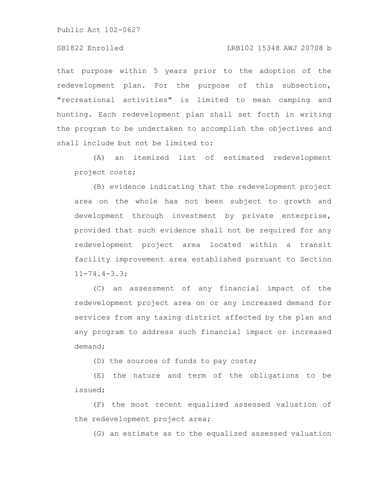# SB1822 Enrolled LRB102 15348 AWJ 20708 b

that purpose within 5 years prior to the adoption of the redevelopment plan. For the purpose of this subsection, "recreational activities" is limited to mean camping and hunting. Each redevelopment plan shall set forth in writing the program to be undertaken to accomplish the objectives and shall include but not be limited to:

(A) an itemized list of estimated redevelopment project costs;

(B) evidence indicating that the redevelopment project area on the whole has not been subject to growth and development through investment by private enterprise, provided that such evidence shall not be required for any redevelopment project area located within a transit facility improvement area established pursuant to Section 11-74.4-3.3;

(C) an assessment of any financial impact of the redevelopment project area on or any increased demand for services from any taxing district affected by the plan and any program to address such financial impact or increased demand;

(D) the sources of funds to pay costs;

(E) the nature and term of the obligations to be issued;

(F) the most recent equalized assessed valuation of the redevelopment project area;

(G) an estimate as to the equalized assessed valuation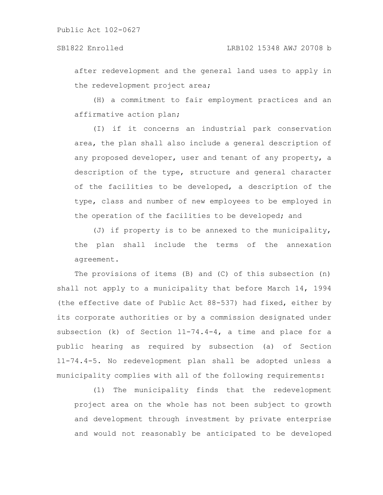after redevelopment and the general land uses to apply in the redevelopment project area;

(H) a commitment to fair employment practices and an affirmative action plan;

(I) if it concerns an industrial park conservation area, the plan shall also include a general description of any proposed developer, user and tenant of any property, a description of the type, structure and general character of the facilities to be developed, a description of the type, class and number of new employees to be employed in the operation of the facilities to be developed; and

(J) if property is to be annexed to the municipality, the plan shall include the terms of the annexation agreement.

The provisions of items (B) and (C) of this subsection (n) shall not apply to a municipality that before March 14, 1994 (the effective date of Public Act 88-537) had fixed, either by its corporate authorities or by a commission designated under subsection (k) of Section 11-74.4-4, a time and place for a public hearing as required by subsection (a) of Section 11-74.4-5. No redevelopment plan shall be adopted unless a municipality complies with all of the following requirements:

(1) The municipality finds that the redevelopment project area on the whole has not been subject to growth and development through investment by private enterprise and would not reasonably be anticipated to be developed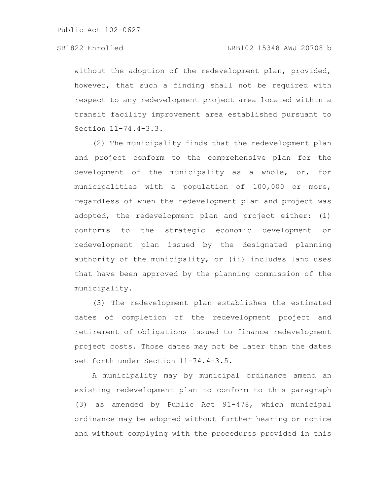without the adoption of the redevelopment plan, provided, however, that such a finding shall not be required with respect to any redevelopment project area located within a transit facility improvement area established pursuant to Section 11-74.4-3.3.

(2) The municipality finds that the redevelopment plan and project conform to the comprehensive plan for the development of the municipality as a whole, or, for municipalities with a population of 100,000 or more, regardless of when the redevelopment plan and project was adopted, the redevelopment plan and project either: (i) conforms to the strategic economic development or redevelopment plan issued by the designated planning authority of the municipality, or (ii) includes land uses that have been approved by the planning commission of the municipality.

(3) The redevelopment plan establishes the estimated dates of completion of the redevelopment project and retirement of obligations issued to finance redevelopment project costs. Those dates may not be later than the dates set forth under Section 11-74.4-3.5.

A municipality may by municipal ordinance amend an existing redevelopment plan to conform to this paragraph (3) as amended by Public Act 91-478, which municipal ordinance may be adopted without further hearing or notice and without complying with the procedures provided in this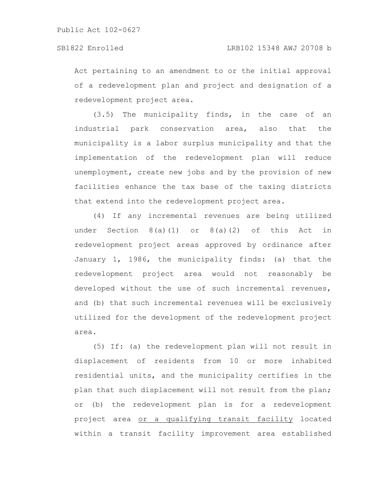Act pertaining to an amendment to or the initial approval of a redevelopment plan and project and designation of a redevelopment project area.

(3.5) The municipality finds, in the case of an industrial park conservation area, also that the municipality is a labor surplus municipality and that the implementation of the redevelopment plan will reduce unemployment, create new jobs and by the provision of new facilities enhance the tax base of the taxing districts that extend into the redevelopment project area.

(4) If any incremental revenues are being utilized under Section  $8(a)(1)$  or  $8(a)(2)$  of this Act in redevelopment project areas approved by ordinance after January 1, 1986, the municipality finds: (a) that the redevelopment project area would not reasonably be developed without the use of such incremental revenues, and (b) that such incremental revenues will be exclusively utilized for the development of the redevelopment project area.

(5) If: (a) the redevelopment plan will not result in displacement of residents from 10 or more inhabited residential units, and the municipality certifies in the plan that such displacement will not result from the plan; or (b) the redevelopment plan is for a redevelopment project area or a qualifying transit facility located within a transit facility improvement area established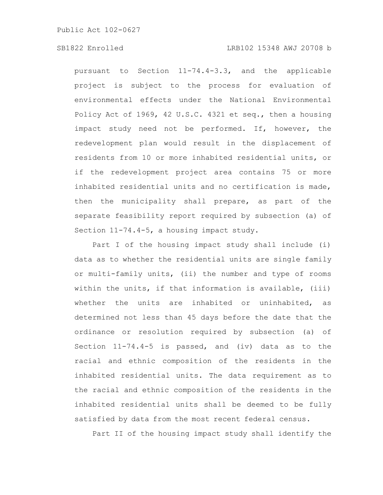### SB1822 Enrolled LRB102 15348 AWJ 20708 b

pursuant to Section 11-74.4-3.3, and the applicable project is subject to the process for evaluation of environmental effects under the National Environmental Policy Act of 1969, 42 U.S.C. 4321 et seq., then a housing impact study need not be performed. If, however, the redevelopment plan would result in the displacement of residents from 10 or more inhabited residential units, or if the redevelopment project area contains 75 or more inhabited residential units and no certification is made, then the municipality shall prepare, as part of the separate feasibility report required by subsection (a) of Section 11-74.4-5, a housing impact study.

Part I of the housing impact study shall include (i) data as to whether the residential units are single family or multi-family units, (ii) the number and type of rooms within the units, if that information is available, (iii) whether the units are inhabited or uninhabited, as determined not less than 45 days before the date that the ordinance or resolution required by subsection (a) of Section 11-74.4-5 is passed, and (iv) data as to the racial and ethnic composition of the residents in the inhabited residential units. The data requirement as to the racial and ethnic composition of the residents in the inhabited residential units shall be deemed to be fully satisfied by data from the most recent federal census.

Part II of the housing impact study shall identify the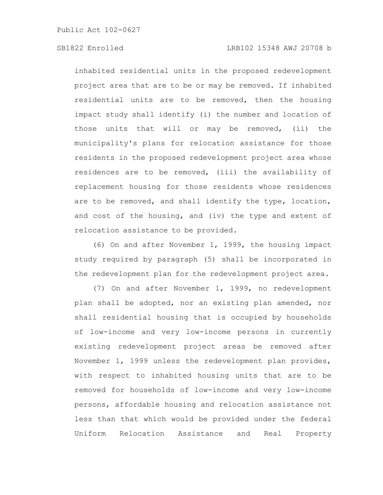### SB1822 Enrolled LRB102 15348 AWJ 20708 b

inhabited residential units in the proposed redevelopment project area that are to be or may be removed. If inhabited residential units are to be removed, then the housing impact study shall identify (i) the number and location of those units that will or may be removed, (ii) the municipality's plans for relocation assistance for those residents in the proposed redevelopment project area whose residences are to be removed, (iii) the availability of replacement housing for those residents whose residences are to be removed, and shall identify the type, location, and cost of the housing, and (iv) the type and extent of relocation assistance to be provided.

(6) On and after November 1, 1999, the housing impact study required by paragraph (5) shall be incorporated in the redevelopment plan for the redevelopment project area.

(7) On and after November 1, 1999, no redevelopment plan shall be adopted, nor an existing plan amended, nor shall residential housing that is occupied by households of low-income and very low-income persons in currently existing redevelopment project areas be removed after November 1, 1999 unless the redevelopment plan provides, with respect to inhabited housing units that are to be removed for households of low-income and very low-income persons, affordable housing and relocation assistance not less than that which would be provided under the federal Uniform Relocation Assistance and Real Property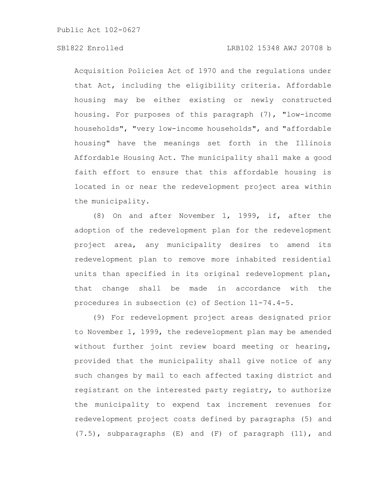Acquisition Policies Act of 1970 and the regulations under that Act, including the eligibility criteria. Affordable housing may be either existing or newly constructed housing. For purposes of this paragraph (7), "low-income households", "very low-income households", and "affordable housing" have the meanings set forth in the Illinois Affordable Housing Act. The municipality shall make a good faith effort to ensure that this affordable housing is located in or near the redevelopment project area within the municipality.

(8) On and after November 1, 1999, if, after the adoption of the redevelopment plan for the redevelopment project area, any municipality desires to amend its redevelopment plan to remove more inhabited residential units than specified in its original redevelopment plan, that change shall be made in accordance with the procedures in subsection (c) of Section 11-74.4-5.

(9) For redevelopment project areas designated prior to November 1, 1999, the redevelopment plan may be amended without further joint review board meeting or hearing, provided that the municipality shall give notice of any such changes by mail to each affected taxing district and registrant on the interested party registry, to authorize the municipality to expend tax increment revenues for redevelopment project costs defined by paragraphs (5) and (7.5), subparagraphs (E) and (F) of paragraph (11), and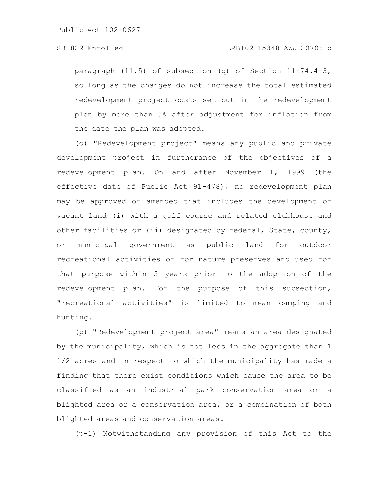paragraph (11.5) of subsection (q) of Section 11-74.4-3, so long as the changes do not increase the total estimated redevelopment project costs set out in the redevelopment plan by more than 5% after adjustment for inflation from the date the plan was adopted.

(o) "Redevelopment project" means any public and private development project in furtherance of the objectives of a redevelopment plan. On and after November 1, 1999 (the effective date of Public Act 91-478), no redevelopment plan may be approved or amended that includes the development of vacant land (i) with a golf course and related clubhouse and other facilities or (ii) designated by federal, State, county, or municipal government as public land for outdoor recreational activities or for nature preserves and used for that purpose within 5 years prior to the adoption of the redevelopment plan. For the purpose of this subsection, "recreational activities" is limited to mean camping and hunting.

(p) "Redevelopment project area" means an area designated by the municipality, which is not less in the aggregate than 1 1/2 acres and in respect to which the municipality has made a finding that there exist conditions which cause the area to be classified as an industrial park conservation area or a blighted area or a conservation area, or a combination of both blighted areas and conservation areas.

(p-1) Notwithstanding any provision of this Act to the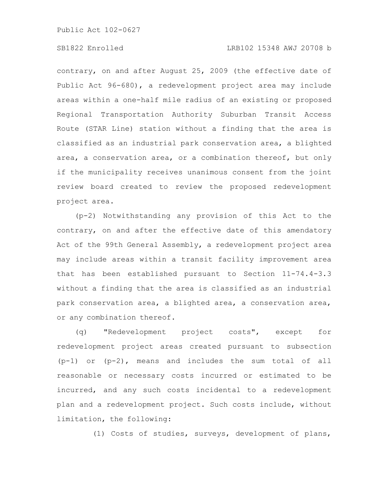### SB1822 Enrolled LRB102 15348 AWJ 20708 b

contrary, on and after August 25, 2009 (the effective date of Public Act 96-680), a redevelopment project area may include areas within a one-half mile radius of an existing or proposed Regional Transportation Authority Suburban Transit Access Route (STAR Line) station without a finding that the area is classified as an industrial park conservation area, a blighted area, a conservation area, or a combination thereof, but only if the municipality receives unanimous consent from the joint review board created to review the proposed redevelopment project area.

(p-2) Notwithstanding any provision of this Act to the contrary, on and after the effective date of this amendatory Act of the 99th General Assembly, a redevelopment project area may include areas within a transit facility improvement area that has been established pursuant to Section 11-74.4-3.3 without a finding that the area is classified as an industrial park conservation area, a blighted area, a conservation area, or any combination thereof.

(q) "Redevelopment project costs", except for redevelopment project areas created pursuant to subsection (p-1) or (p-2), means and includes the sum total of all reasonable or necessary costs incurred or estimated to be incurred, and any such costs incidental to a redevelopment plan and a redevelopment project. Such costs include, without limitation, the following:

(1) Costs of studies, surveys, development of plans,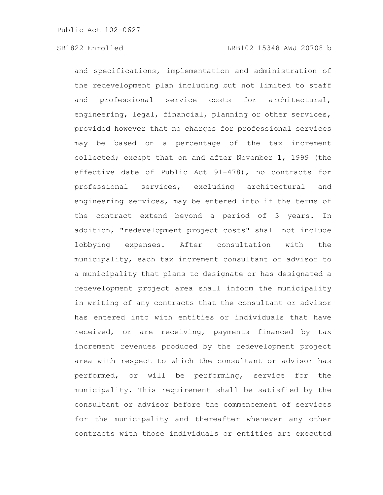and specifications, implementation and administration of the redevelopment plan including but not limited to staff and professional service costs for architectural, engineering, legal, financial, planning or other services, provided however that no charges for professional services may be based on a percentage of the tax increment collected; except that on and after November 1, 1999 (the effective date of Public Act 91-478), no contracts for professional services, excluding architectural and engineering services, may be entered into if the terms of the contract extend beyond a period of 3 years. In addition, "redevelopment project costs" shall not include lobbying expenses. After consultation with the municipality, each tax increment consultant or advisor to a municipality that plans to designate or has designated a redevelopment project area shall inform the municipality in writing of any contracts that the consultant or advisor has entered into with entities or individuals that have received, or are receiving, payments financed by tax increment revenues produced by the redevelopment project area with respect to which the consultant or advisor has performed, or will be performing, service for the municipality. This requirement shall be satisfied by the consultant or advisor before the commencement of services for the municipality and thereafter whenever any other contracts with those individuals or entities are executed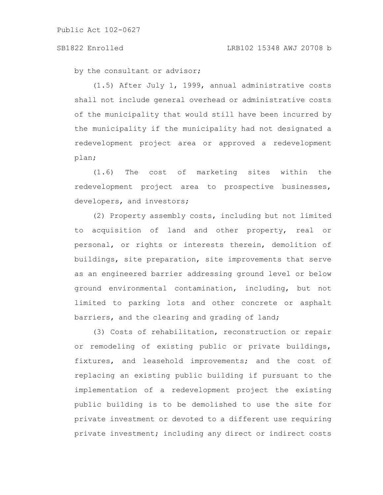#### SB1822 Enrolled LRB102 15348 AWJ 20708 b

by the consultant or advisor;

(1.5) After July 1, 1999, annual administrative costs shall not include general overhead or administrative costs of the municipality that would still have been incurred by the municipality if the municipality had not designated a redevelopment project area or approved a redevelopment plan;

(1.6) The cost of marketing sites within the redevelopment project area to prospective businesses, developers, and investors;

(2) Property assembly costs, including but not limited to acquisition of land and other property, real or personal, or rights or interests therein, demolition of buildings, site preparation, site improvements that serve as an engineered barrier addressing ground level or below ground environmental contamination, including, but not limited to parking lots and other concrete or asphalt barriers, and the clearing and grading of land;

(3) Costs of rehabilitation, reconstruction or repair or remodeling of existing public or private buildings, fixtures, and leasehold improvements; and the cost of replacing an existing public building if pursuant to the implementation of a redevelopment project the existing public building is to be demolished to use the site for private investment or devoted to a different use requiring private investment; including any direct or indirect costs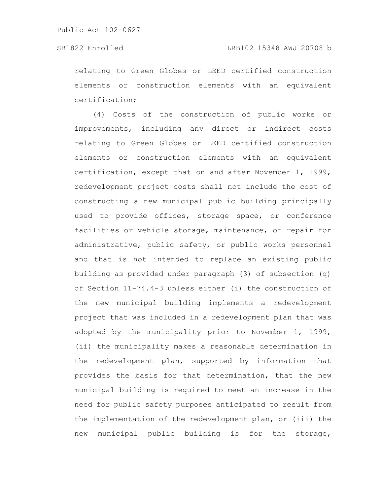relating to Green Globes or LEED certified construction elements or construction elements with an equivalent certification;

(4) Costs of the construction of public works or improvements, including any direct or indirect costs relating to Green Globes or LEED certified construction elements or construction elements with an equivalent certification, except that on and after November 1, 1999, redevelopment project costs shall not include the cost of constructing a new municipal public building principally used to provide offices, storage space, or conference facilities or vehicle storage, maintenance, or repair for administrative, public safety, or public works personnel and that is not intended to replace an existing public building as provided under paragraph (3) of subsection (q) of Section 11-74.4-3 unless either (i) the construction of the new municipal building implements a redevelopment project that was included in a redevelopment plan that was adopted by the municipality prior to November 1, 1999, (ii) the municipality makes a reasonable determination in the redevelopment plan, supported by information that provides the basis for that determination, that the new municipal building is required to meet an increase in the need for public safety purposes anticipated to result from the implementation of the redevelopment plan, or (iii) the new municipal public building is for the storage,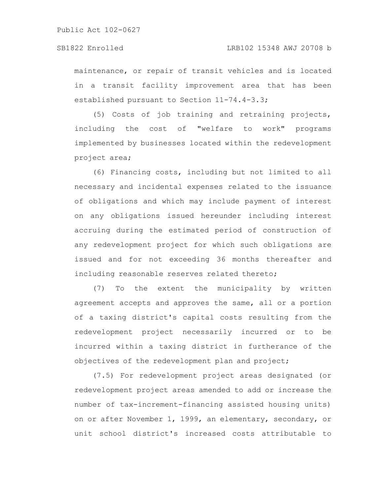maintenance, or repair of transit vehicles and is located in a transit facility improvement area that has been established pursuant to Section 11-74.4-3.3;

(5) Costs of job training and retraining projects, including the cost of "welfare to work" programs implemented by businesses located within the redevelopment project area;

(6) Financing costs, including but not limited to all necessary and incidental expenses related to the issuance of obligations and which may include payment of interest on any obligations issued hereunder including interest accruing during the estimated period of construction of any redevelopment project for which such obligations are issued and for not exceeding 36 months thereafter and including reasonable reserves related thereto;

(7) To the extent the municipality by written agreement accepts and approves the same, all or a portion of a taxing district's capital costs resulting from the redevelopment project necessarily incurred or to be incurred within a taxing district in furtherance of the objectives of the redevelopment plan and project;

(7.5) For redevelopment project areas designated (or redevelopment project areas amended to add or increase the number of tax-increment-financing assisted housing units) on or after November 1, 1999, an elementary, secondary, or unit school district's increased costs attributable to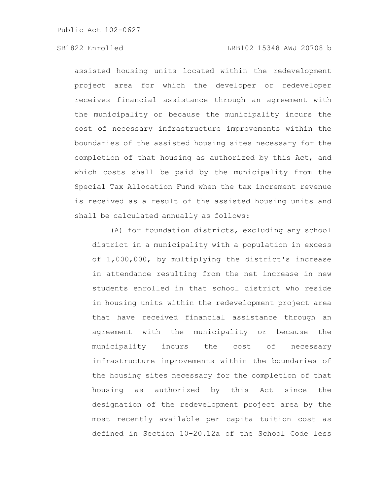# SB1822 Enrolled LRB102 15348 AWJ 20708 b

assisted housing units located within the redevelopment project area for which the developer or redeveloper receives financial assistance through an agreement with the municipality or because the municipality incurs the cost of necessary infrastructure improvements within the boundaries of the assisted housing sites necessary for the completion of that housing as authorized by this Act, and which costs shall be paid by the municipality from the Special Tax Allocation Fund when the tax increment revenue is received as a result of the assisted housing units and shall be calculated annually as follows:

(A) for foundation districts, excluding any school district in a municipality with a population in excess of 1,000,000, by multiplying the district's increase in attendance resulting from the net increase in new students enrolled in that school district who reside in housing units within the redevelopment project area that have received financial assistance through an agreement with the municipality or because the municipality incurs the cost of necessary infrastructure improvements within the boundaries of the housing sites necessary for the completion of that housing as authorized by this Act since the designation of the redevelopment project area by the most recently available per capita tuition cost as defined in Section 10-20.12a of the School Code less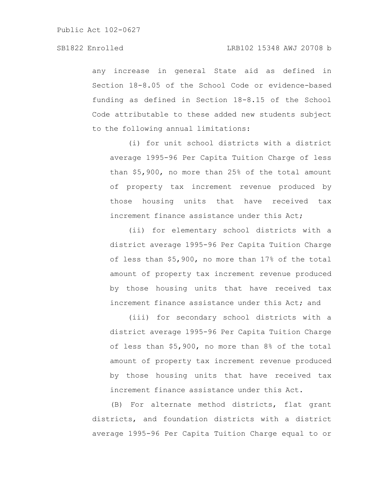any increase in general State aid as defined in Section 18-8.05 of the School Code or evidence-based funding as defined in Section 18-8.15 of the School Code attributable to these added new students subject to the following annual limitations:

(i) for unit school districts with a district average 1995-96 Per Capita Tuition Charge of less than \$5,900, no more than 25% of the total amount of property tax increment revenue produced by those housing units that have received tax increment finance assistance under this Act;

(ii) for elementary school districts with a district average 1995-96 Per Capita Tuition Charge of less than \$5,900, no more than 17% of the total amount of property tax increment revenue produced by those housing units that have received tax increment finance assistance under this Act; and

(iii) for secondary school districts with a district average 1995-96 Per Capita Tuition Charge of less than \$5,900, no more than 8% of the total amount of property tax increment revenue produced by those housing units that have received tax increment finance assistance under this Act.

(B) For alternate method districts, flat grant districts, and foundation districts with a district average 1995-96 Per Capita Tuition Charge equal to or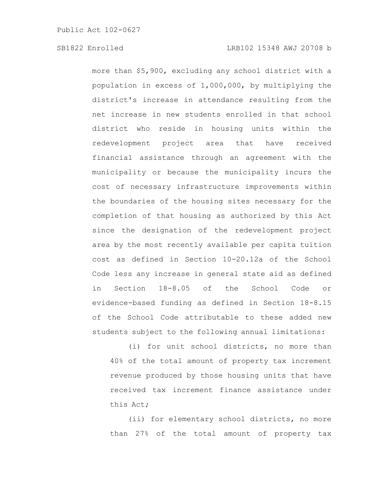more than \$5,900, excluding any school district with a population in excess of 1,000,000, by multiplying the district's increase in attendance resulting from the net increase in new students enrolled in that school district who reside in housing units within the redevelopment project area that have received financial assistance through an agreement with the municipality or because the municipality incurs the cost of necessary infrastructure improvements within the boundaries of the housing sites necessary for the completion of that housing as authorized by this Act since the designation of the redevelopment project area by the most recently available per capita tuition cost as defined in Section 10-20.12a of the School Code less any increase in general state aid as defined in Section 18-8.05 of the School Code or evidence-based funding as defined in Section 18-8.15 of the School Code attributable to these added new students subject to the following annual limitations:

(i) for unit school districts, no more than 40% of the total amount of property tax increment revenue produced by those housing units that have received tax increment finance assistance under this Act;

(ii) for elementary school districts, no more than 27% of the total amount of property tax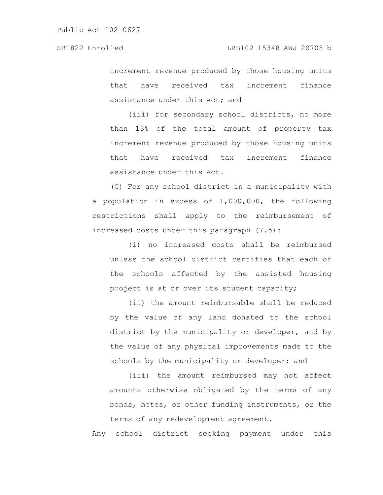increment revenue produced by those housing units that have received tax increment finance assistance under this Act; and

(iii) for secondary school districts, no more than 13% of the total amount of property tax increment revenue produced by those housing units that have received tax increment finance assistance under this Act.

(C) For any school district in a municipality with a population in excess of 1,000,000, the following restrictions shall apply to the reimbursement of increased costs under this paragraph (7.5):

(i) no increased costs shall be reimbursed unless the school district certifies that each of the schools affected by the assisted housing project is at or over its student capacity;

(ii) the amount reimbursable shall be reduced by the value of any land donated to the school district by the municipality or developer, and by the value of any physical improvements made to the schools by the municipality or developer; and

(iii) the amount reimbursed may not affect amounts otherwise obligated by the terms of any bonds, notes, or other funding instruments, or the terms of any redevelopment agreement.

Any school district seeking payment under this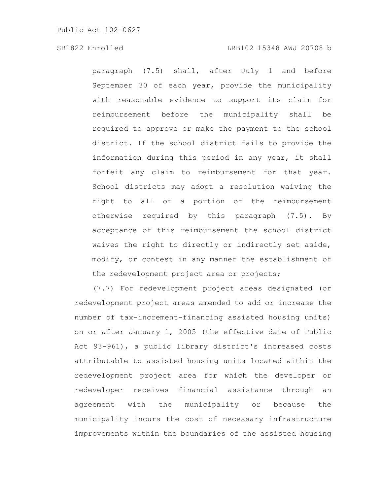paragraph (7.5) shall, after July 1 and before September 30 of each year, provide the municipality with reasonable evidence to support its claim for reimbursement before the municipality shall be required to approve or make the payment to the school district. If the school district fails to provide the information during this period in any year, it shall forfeit any claim to reimbursement for that year. School districts may adopt a resolution waiving the right to all or a portion of the reimbursement otherwise required by this paragraph (7.5). By acceptance of this reimbursement the school district waives the right to directly or indirectly set aside, modify, or contest in any manner the establishment of the redevelopment project area or projects;

(7.7) For redevelopment project areas designated (or redevelopment project areas amended to add or increase the number of tax-increment-financing assisted housing units) on or after January 1, 2005 (the effective date of Public Act 93-961), a public library district's increased costs attributable to assisted housing units located within the redevelopment project area for which the developer or redeveloper receives financial assistance through an agreement with the municipality or because the municipality incurs the cost of necessary infrastructure improvements within the boundaries of the assisted housing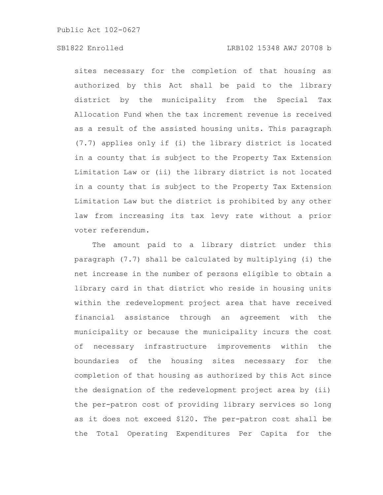sites necessary for the completion of that housing as authorized by this Act shall be paid to the library district by the municipality from the Special Tax Allocation Fund when the tax increment revenue is received as a result of the assisted housing units. This paragraph (7.7) applies only if (i) the library district is located in a county that is subject to the Property Tax Extension Limitation Law or (ii) the library district is not located in a county that is subject to the Property Tax Extension Limitation Law but the district is prohibited by any other law from increasing its tax levy rate without a prior voter referendum.

The amount paid to a library district under this paragraph (7.7) shall be calculated by multiplying (i) the net increase in the number of persons eligible to obtain a library card in that district who reside in housing units within the redevelopment project area that have received financial assistance through an agreement with the municipality or because the municipality incurs the cost of necessary infrastructure improvements within the boundaries of the housing sites necessary for the completion of that housing as authorized by this Act since the designation of the redevelopment project area by (ii) the per-patron cost of providing library services so long as it does not exceed \$120. The per-patron cost shall be the Total Operating Expenditures Per Capita for the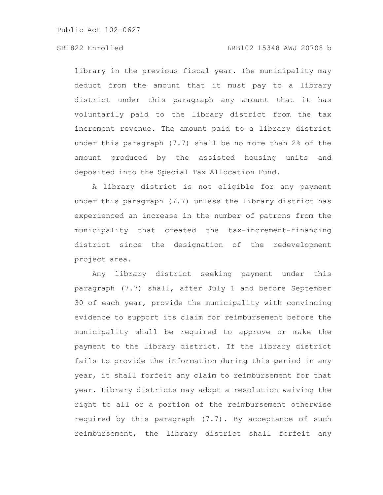# SB1822 Enrolled LRB102 15348 AWJ 20708 b

library in the previous fiscal year. The municipality may deduct from the amount that it must pay to a library district under this paragraph any amount that it has voluntarily paid to the library district from the tax increment revenue. The amount paid to a library district under this paragraph (7.7) shall be no more than 2% of the amount produced by the assisted housing units and deposited into the Special Tax Allocation Fund.

A library district is not eligible for any payment under this paragraph (7.7) unless the library district has experienced an increase in the number of patrons from the municipality that created the tax-increment-financing district since the designation of the redevelopment project area.

Any library district seeking payment under this paragraph (7.7) shall, after July 1 and before September 30 of each year, provide the municipality with convincing evidence to support its claim for reimbursement before the municipality shall be required to approve or make the payment to the library district. If the library district fails to provide the information during this period in any year, it shall forfeit any claim to reimbursement for that year. Library districts may adopt a resolution waiving the right to all or a portion of the reimbursement otherwise required by this paragraph (7.7). By acceptance of such reimbursement, the library district shall forfeit any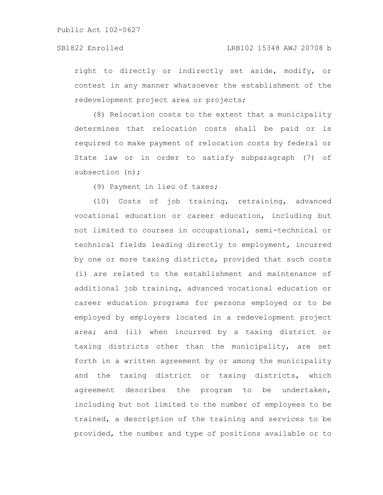right to directly or indirectly set aside, modify, or contest in any manner whatsoever the establishment of the redevelopment project area or projects;

(8) Relocation costs to the extent that a municipality determines that relocation costs shall be paid or is required to make payment of relocation costs by federal or State law or in order to satisfy subparagraph (7) of subsection (n);

(9) Payment in lieu of taxes;

(10) Costs of job training, retraining, advanced vocational education or career education, including but not limited to courses in occupational, semi-technical or technical fields leading directly to employment, incurred by one or more taxing districts, provided that such costs (i) are related to the establishment and maintenance of additional job training, advanced vocational education or career education programs for persons employed or to be employed by employers located in a redevelopment project area; and (ii) when incurred by a taxing district or taxing districts other than the municipality, are set forth in a written agreement by or among the municipality and the taxing district or taxing districts, which agreement describes the program to be undertaken, including but not limited to the number of employees to be trained, a description of the training and services to be provided, the number and type of positions available or to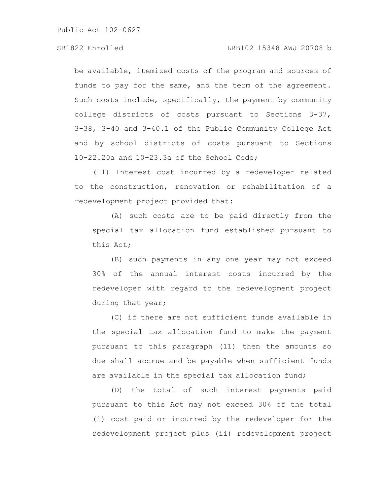# SB1822 Enrolled LRB102 15348 AWJ 20708 b

be available, itemized costs of the program and sources of funds to pay for the same, and the term of the agreement. Such costs include, specifically, the payment by community college districts of costs pursuant to Sections 3-37, 3-38, 3-40 and 3-40.1 of the Public Community College Act and by school districts of costs pursuant to Sections 10-22.20a and 10-23.3a of the School Code;

(11) Interest cost incurred by a redeveloper related to the construction, renovation or rehabilitation of a redevelopment project provided that:

(A) such costs are to be paid directly from the special tax allocation fund established pursuant to this Act;

(B) such payments in any one year may not exceed 30% of the annual interest costs incurred by the redeveloper with regard to the redevelopment project during that year;

(C) if there are not sufficient funds available in the special tax allocation fund to make the payment pursuant to this paragraph (11) then the amounts so due shall accrue and be payable when sufficient funds are available in the special tax allocation fund;

(D) the total of such interest payments paid pursuant to this Act may not exceed 30% of the total (i) cost paid or incurred by the redeveloper for the redevelopment project plus (ii) redevelopment project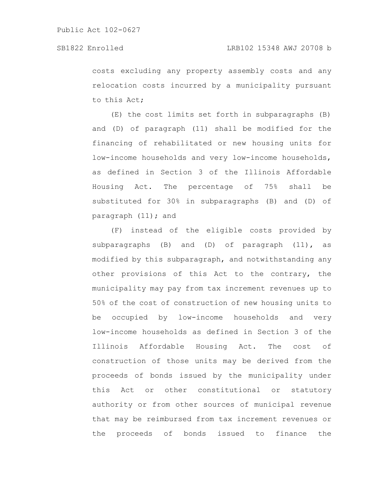costs excluding any property assembly costs and any relocation costs incurred by a municipality pursuant to this Act;

(E) the cost limits set forth in subparagraphs (B) and (D) of paragraph (11) shall be modified for the financing of rehabilitated or new housing units for low-income households and very low-income households, as defined in Section 3 of the Illinois Affordable Housing Act. The percentage of 75% shall be substituted for 30% in subparagraphs (B) and (D) of paragraph (11); and

(F) instead of the eligible costs provided by subparagraphs (B) and (D) of paragraph  $(11)$ , as modified by this subparagraph, and notwithstanding any other provisions of this Act to the contrary, the municipality may pay from tax increment revenues up to 50% of the cost of construction of new housing units to be occupied by low-income households and very low-income households as defined in Section 3 of the Illinois Affordable Housing Act. The cost of construction of those units may be derived from the proceeds of bonds issued by the municipality under this Act or other constitutional or statutory authority or from other sources of municipal revenue that may be reimbursed from tax increment revenues or the proceeds of bonds issued to finance the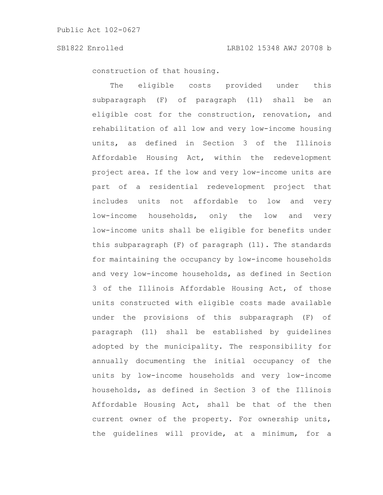construction of that housing.

The eligible costs provided under this subparagraph (F) of paragraph (11) shall be an eligible cost for the construction, renovation, and rehabilitation of all low and very low-income housing units, as defined in Section 3 of the Illinois Affordable Housing Act, within the redevelopment project area. If the low and very low-income units are part of a residential redevelopment project that includes units not affordable to low and very low-income households, only the low and very low-income units shall be eligible for benefits under this subparagraph (F) of paragraph (11). The standards for maintaining the occupancy by low-income households and very low-income households, as defined in Section 3 of the Illinois Affordable Housing Act, of those units constructed with eligible costs made available under the provisions of this subparagraph (F) of paragraph (11) shall be established by guidelines adopted by the municipality. The responsibility for annually documenting the initial occupancy of the units by low-income households and very low-income households, as defined in Section 3 of the Illinois Affordable Housing Act, shall be that of the then current owner of the property. For ownership units, the guidelines will provide, at a minimum, for a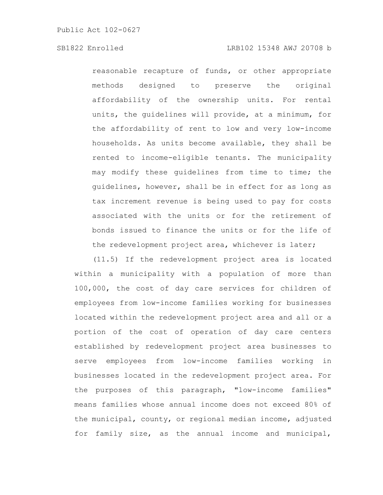reasonable recapture of funds, or other appropriate methods designed to preserve the original affordability of the ownership units. For rental units, the guidelines will provide, at a minimum, for the affordability of rent to low and very low-income households. As units become available, they shall be rented to income-eligible tenants. The municipality may modify these guidelines from time to time; the guidelines, however, shall be in effect for as long as tax increment revenue is being used to pay for costs associated with the units or for the retirement of bonds issued to finance the units or for the life of the redevelopment project area, whichever is later;

(11.5) If the redevelopment project area is located within a municipality with a population of more than 100,000, the cost of day care services for children of employees from low-income families working for businesses located within the redevelopment project area and all or a portion of the cost of operation of day care centers established by redevelopment project area businesses to serve employees from low-income families working in businesses located in the redevelopment project area. For the purposes of this paragraph, "low-income families" means families whose annual income does not exceed 80% of the municipal, county, or regional median income, adjusted for family size, as the annual income and municipal,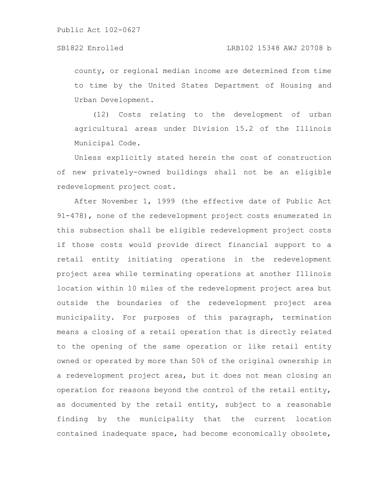county, or regional median income are determined from time to time by the United States Department of Housing and Urban Development.

(12) Costs relating to the development of urban agricultural areas under Division 15.2 of the Illinois Municipal Code.

Unless explicitly stated herein the cost of construction of new privately-owned buildings shall not be an eligible redevelopment project cost.

After November 1, 1999 (the effective date of Public Act 91-478), none of the redevelopment project costs enumerated in this subsection shall be eligible redevelopment project costs if those costs would provide direct financial support to a retail entity initiating operations in the redevelopment project area while terminating operations at another Illinois location within 10 miles of the redevelopment project area but outside the boundaries of the redevelopment project area municipality. For purposes of this paragraph, termination means a closing of a retail operation that is directly related to the opening of the same operation or like retail entity owned or operated by more than 50% of the original ownership in a redevelopment project area, but it does not mean closing an operation for reasons beyond the control of the retail entity, as documented by the retail entity, subject to a reasonable finding by the municipality that the current location contained inadequate space, had become economically obsolete,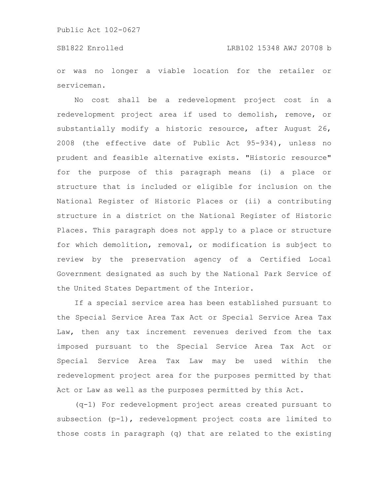or was no longer a viable location for the retailer or serviceman.

No cost shall be a redevelopment project cost in a redevelopment project area if used to demolish, remove, or substantially modify a historic resource, after August 26, 2008 (the effective date of Public Act 95-934), unless no prudent and feasible alternative exists. "Historic resource" for the purpose of this paragraph means (i) a place or structure that is included or eligible for inclusion on the National Register of Historic Places or (ii) a contributing structure in a district on the National Register of Historic Places. This paragraph does not apply to a place or structure for which demolition, removal, or modification is subject to review by the preservation agency of a Certified Local Government designated as such by the National Park Service of the United States Department of the Interior.

If a special service area has been established pursuant to the Special Service Area Tax Act or Special Service Area Tax Law, then any tax increment revenues derived from the tax imposed pursuant to the Special Service Area Tax Act or Special Service Area Tax Law may be used within the redevelopment project area for the purposes permitted by that Act or Law as well as the purposes permitted by this Act.

(q-1) For redevelopment project areas created pursuant to subsection (p-1), redevelopment project costs are limited to those costs in paragraph (q) that are related to the existing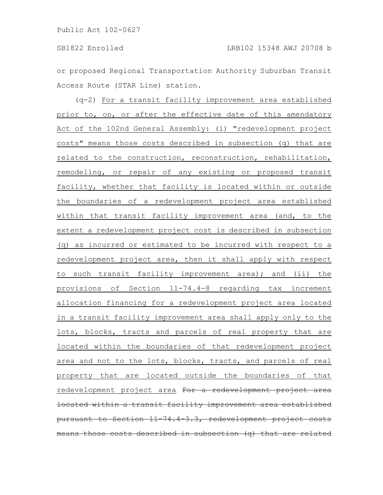or proposed Regional Transportation Authority Suburban Transit Access Route (STAR Line) station.

(q-2) For a transit facility improvement area established prior to, on, or after the effective date of this amendatory Act of the 102nd General Assembly: (i) "redevelopment project costs" means those costs described in subsection (q) that are related to the construction, reconstruction, rehabilitation, remodeling, or repair of any existing or proposed transit facility, whether that facility is located within or outside the boundaries of a redevelopment project area established within that transit facility improvement area (and, to the extent a redevelopment project cost is described in subsection (q) as incurred or estimated to be incurred with respect to a redevelopment project area, then it shall apply with respect to such transit facility improvement area); and (ii) the provisions of Section 11-74.4-8 regarding tax increment allocation financing for a redevelopment project area located in a transit facility improvement area shall apply only to the lots, blocks, tracts and parcels of real property that are located within the boundaries of that redevelopment project area and not to the lots, blocks, tracts, and parcels of real property that are located outside the boundaries of that redevelopment project area For a redevelopment project located within a transit facility improvement area established pursuant to Section  $11-74.4-3.3$ , redevelopment project means those costs described in subsection (q) that are related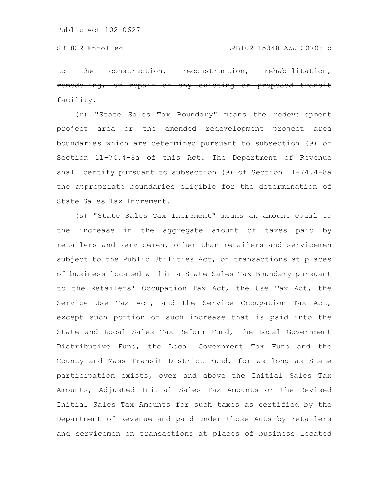to the construction, reconstruction, rehabilitat remodeling, or repair of any existing or proposed transit facility.

(r) "State Sales Tax Boundary" means the redevelopment project area or the amended redevelopment project area boundaries which are determined pursuant to subsection (9) of Section 11-74.4-8a of this Act. The Department of Revenue shall certify pursuant to subsection (9) of Section 11-74.4-8a the appropriate boundaries eligible for the determination of State Sales Tax Increment.

(s) "State Sales Tax Increment" means an amount equal to the increase in the aggregate amount of taxes paid by retailers and servicemen, other than retailers and servicemen subject to the Public Utilities Act, on transactions at places of business located within a State Sales Tax Boundary pursuant to the Retailers' Occupation Tax Act, the Use Tax Act, the Service Use Tax Act, and the Service Occupation Tax Act, except such portion of such increase that is paid into the State and Local Sales Tax Reform Fund, the Local Government Distributive Fund, the Local Government Tax Fund and the County and Mass Transit District Fund, for as long as State participation exists, over and above the Initial Sales Tax Amounts, Adjusted Initial Sales Tax Amounts or the Revised Initial Sales Tax Amounts for such taxes as certified by the Department of Revenue and paid under those Acts by retailers and servicemen on transactions at places of business located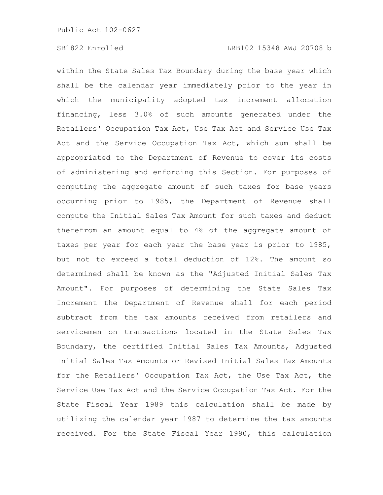within the State Sales Tax Boundary during the base year which shall be the calendar year immediately prior to the year in which the municipality adopted tax increment allocation financing, less 3.0% of such amounts generated under the Retailers' Occupation Tax Act, Use Tax Act and Service Use Tax Act and the Service Occupation Tax Act, which sum shall be appropriated to the Department of Revenue to cover its costs of administering and enforcing this Section. For purposes of computing the aggregate amount of such taxes for base years occurring prior to 1985, the Department of Revenue shall compute the Initial Sales Tax Amount for such taxes and deduct therefrom an amount equal to 4% of the aggregate amount of taxes per year for each year the base year is prior to 1985, but not to exceed a total deduction of 12%. The amount so determined shall be known as the "Adjusted Initial Sales Tax Amount". For purposes of determining the State Sales Tax Increment the Department of Revenue shall for each period subtract from the tax amounts received from retailers and servicemen on transactions located in the State Sales Tax Boundary, the certified Initial Sales Tax Amounts, Adjusted Initial Sales Tax Amounts or Revised Initial Sales Tax Amounts for the Retailers' Occupation Tax Act, the Use Tax Act, the Service Use Tax Act and the Service Occupation Tax Act. For the State Fiscal Year 1989 this calculation shall be made by utilizing the calendar year 1987 to determine the tax amounts received. For the State Fiscal Year 1990, this calculation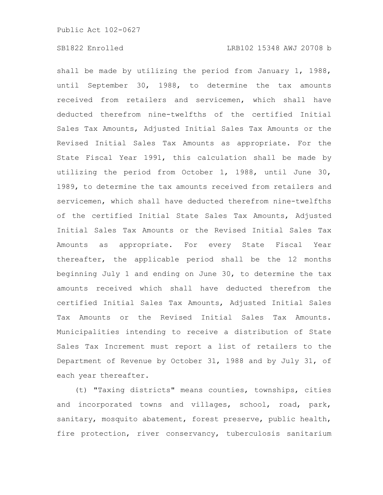shall be made by utilizing the period from January 1, 1988, until September 30, 1988, to determine the tax amounts received from retailers and servicemen, which shall have deducted therefrom nine-twelfths of the certified Initial Sales Tax Amounts, Adjusted Initial Sales Tax Amounts or the Revised Initial Sales Tax Amounts as appropriate. For the State Fiscal Year 1991, this calculation shall be made by utilizing the period from October 1, 1988, until June 30, 1989, to determine the tax amounts received from retailers and servicemen, which shall have deducted therefrom nine-twelfths of the certified Initial State Sales Tax Amounts, Adjusted Initial Sales Tax Amounts or the Revised Initial Sales Tax Amounts as appropriate. For every State Fiscal Year thereafter, the applicable period shall be the 12 months beginning July 1 and ending on June 30, to determine the tax amounts received which shall have deducted therefrom the certified Initial Sales Tax Amounts, Adjusted Initial Sales Tax Amounts or the Revised Initial Sales Tax Amounts. Municipalities intending to receive a distribution of State Sales Tax Increment must report a list of retailers to the Department of Revenue by October 31, 1988 and by July 31, of each year thereafter.

(t) "Taxing districts" means counties, townships, cities and incorporated towns and villages, school, road, park, sanitary, mosquito abatement, forest preserve, public health, fire protection, river conservancy, tuberculosis sanitarium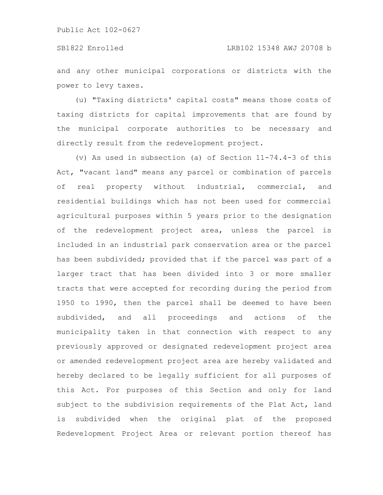and any other municipal corporations or districts with the power to levy taxes.

(u) "Taxing districts' capital costs" means those costs of taxing districts for capital improvements that are found by the municipal corporate authorities to be necessary and directly result from the redevelopment project.

(v) As used in subsection (a) of Section 11-74.4-3 of this Act, "vacant land" means any parcel or combination of parcels of real property without industrial, commercial, and residential buildings which has not been used for commercial agricultural purposes within 5 years prior to the designation of the redevelopment project area, unless the parcel is included in an industrial park conservation area or the parcel has been subdivided; provided that if the parcel was part of a larger tract that has been divided into 3 or more smaller tracts that were accepted for recording during the period from 1950 to 1990, then the parcel shall be deemed to have been subdivided, and all proceedings and actions of the municipality taken in that connection with respect to any previously approved or designated redevelopment project area or amended redevelopment project area are hereby validated and hereby declared to be legally sufficient for all purposes of this Act. For purposes of this Section and only for land subject to the subdivision requirements of the Plat Act, land is subdivided when the original plat of the proposed Redevelopment Project Area or relevant portion thereof has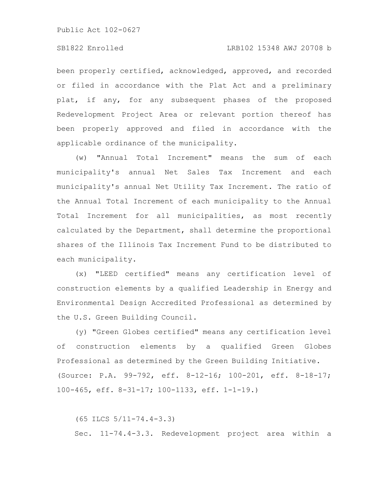# SB1822 Enrolled LRB102 15348 AWJ 20708 b

been properly certified, acknowledged, approved, and recorded or filed in accordance with the Plat Act and a preliminary plat, if any, for any subsequent phases of the proposed Redevelopment Project Area or relevant portion thereof has been properly approved and filed in accordance with the applicable ordinance of the municipality.

(w) "Annual Total Increment" means the sum of each municipality's annual Net Sales Tax Increment and each municipality's annual Net Utility Tax Increment. The ratio of the Annual Total Increment of each municipality to the Annual Total Increment for all municipalities, as most recently calculated by the Department, shall determine the proportional shares of the Illinois Tax Increment Fund to be distributed to each municipality.

(x) "LEED certified" means any certification level of construction elements by a qualified Leadership in Energy and Environmental Design Accredited Professional as determined by the U.S. Green Building Council.

(y) "Green Globes certified" means any certification level of construction elements by a qualified Green Globes Professional as determined by the Green Building Initiative. (Source: P.A. 99-792, eff. 8-12-16; 100-201, eff. 8-18-17; 100-465, eff. 8-31-17; 100-1133, eff. 1-1-19.)

(65 ILCS 5/11-74.4-3.3)

Sec. 11-74.4-3.3. Redevelopment project area within a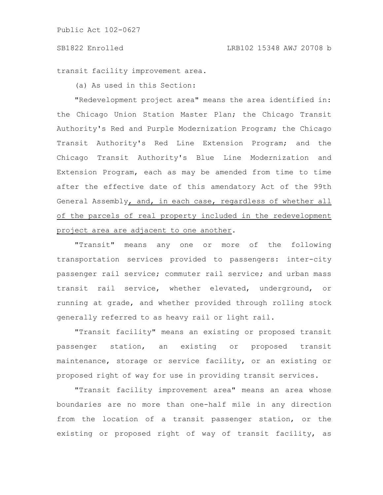#### SB1822 Enrolled LRB102 15348 AWJ 20708 b

transit facility improvement area.

(a) As used in this Section:

"Redevelopment project area" means the area identified in: the Chicago Union Station Master Plan; the Chicago Transit Authority's Red and Purple Modernization Program; the Chicago Transit Authority's Red Line Extension Program; and the Chicago Transit Authority's Blue Line Modernization and Extension Program, each as may be amended from time to time after the effective date of this amendatory Act of the 99th General Assembly, and, in each case, regardless of whether all of the parcels of real property included in the redevelopment project area are adjacent to one another.

"Transit" means any one or more of the following transportation services provided to passengers: inter-city passenger rail service; commuter rail service; and urban mass transit rail service, whether elevated, underground, or running at grade, and whether provided through rolling stock generally referred to as heavy rail or light rail.

"Transit facility" means an existing or proposed transit passenger station, an existing or proposed transit maintenance, storage or service facility, or an existing or proposed right of way for use in providing transit services.

"Transit facility improvement area" means an area whose boundaries are no more than one-half mile in any direction from the location of a transit passenger station, or the existing or proposed right of way of transit facility, as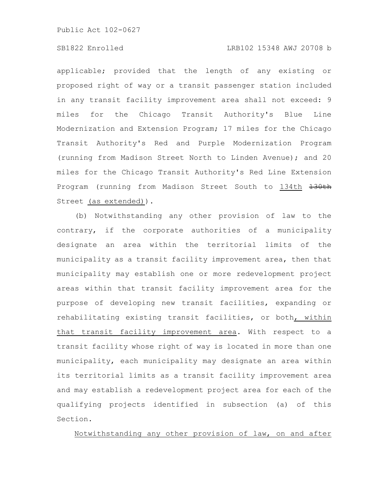# SB1822 Enrolled LRB102 15348 AWJ 20708 b

applicable; provided that the length of any existing or proposed right of way or a transit passenger station included in any transit facility improvement area shall not exceed: 9 miles for the Chicago Transit Authority's Blue Line Modernization and Extension Program; 17 miles for the Chicago Transit Authority's Red and Purple Modernization Program (running from Madison Street North to Linden Avenue); and 20 miles for the Chicago Transit Authority's Red Line Extension Program (running from Madison Street South to 134th +30th Street (as extended)).

(b) Notwithstanding any other provision of law to the contrary, if the corporate authorities of a municipality designate an area within the territorial limits of the municipality as a transit facility improvement area, then that municipality may establish one or more redevelopment project areas within that transit facility improvement area for the purpose of developing new transit facilities, expanding or rehabilitating existing transit facilities, or both, within that transit facility improvement area. With respect to a transit facility whose right of way is located in more than one municipality, each municipality may designate an area within its territorial limits as a transit facility improvement area and may establish a redevelopment project area for each of the qualifying projects identified in subsection (a) of this Section.

Notwithstanding any other provision of law, on and after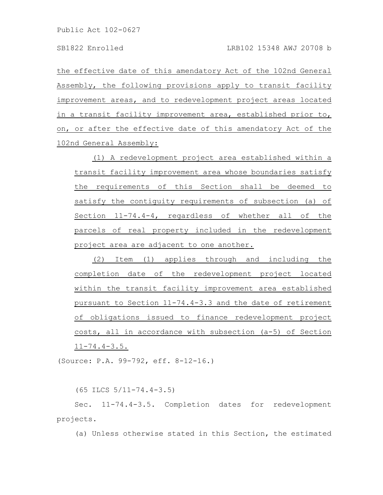the effective date of this amendatory Act of the 102nd General Assembly, the following provisions apply to transit facility improvement areas, and to redevelopment project areas located in a transit facility improvement area, established prior to, on, or after the effective date of this amendatory Act of the 102nd General Assembly:

(1) A redevelopment project area established within a transit facility improvement area whose boundaries satisfy the requirements of this Section shall be deemed to satisfy the contiguity requirements of subsection (a) of Section 11-74.4-4, regardless of whether all of the parcels of real property included in the redevelopment project area are adjacent to one another.

(2) Item (1) applies through and including the completion date of the redevelopment project located within the transit facility improvement area established pursuant to Section 11-74.4-3.3 and the date of retirement of obligations issued to finance redevelopment project costs, all in accordance with subsection (a-5) of Section 11-74.4-3.5.

(Source: P.A. 99-792, eff. 8-12-16.)

(65 ILCS 5/11-74.4-3.5)

Sec. 11-74.4-3.5. Completion dates for redevelopment projects.

(a) Unless otherwise stated in this Section, the estimated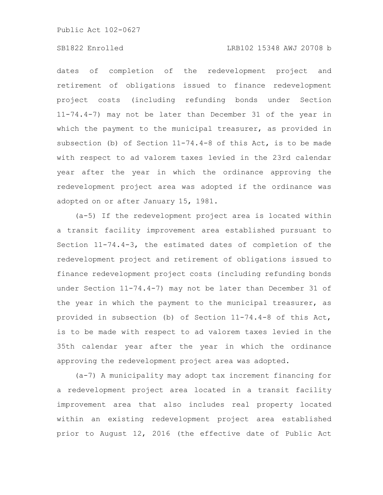# SB1822 Enrolled LRB102 15348 AWJ 20708 b

dates of completion of the redevelopment project and retirement of obligations issued to finance redevelopment project costs (including refunding bonds under Section 11-74.4-7) may not be later than December 31 of the year in which the payment to the municipal treasurer, as provided in subsection (b) of Section 11-74.4-8 of this Act, is to be made with respect to ad valorem taxes levied in the 23rd calendar year after the year in which the ordinance approving the redevelopment project area was adopted if the ordinance was adopted on or after January 15, 1981.

(a-5) If the redevelopment project area is located within a transit facility improvement area established pursuant to Section 11-74.4-3, the estimated dates of completion of the redevelopment project and retirement of obligations issued to finance redevelopment project costs (including refunding bonds under Section 11-74.4-7) may not be later than December 31 of the year in which the payment to the municipal treasurer, as provided in subsection (b) of Section 11-74.4-8 of this Act, is to be made with respect to ad valorem taxes levied in the 35th calendar year after the year in which the ordinance approving the redevelopment project area was adopted.

(a-7) A municipality may adopt tax increment financing for a redevelopment project area located in a transit facility improvement area that also includes real property located within an existing redevelopment project area established prior to August 12, 2016 (the effective date of Public Act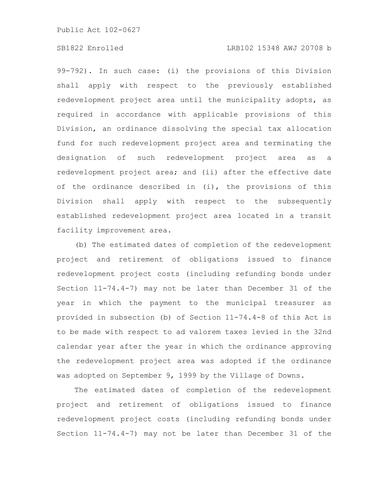99-792). In such case: (i) the provisions of this Division shall apply with respect to the previously established redevelopment project area until the municipality adopts, as required in accordance with applicable provisions of this Division, an ordinance dissolving the special tax allocation fund for such redevelopment project area and terminating the designation of such redevelopment project area as a redevelopment project area; and (ii) after the effective date of the ordinance described in (i), the provisions of this Division shall apply with respect to the subsequently established redevelopment project area located in a transit facility improvement area.

(b) The estimated dates of completion of the redevelopment project and retirement of obligations issued to finance redevelopment project costs (including refunding bonds under Section 11-74.4-7) may not be later than December 31 of the year in which the payment to the municipal treasurer as provided in subsection (b) of Section 11-74.4-8 of this Act is to be made with respect to ad valorem taxes levied in the 32nd calendar year after the year in which the ordinance approving the redevelopment project area was adopted if the ordinance was adopted on September 9, 1999 by the Village of Downs.

The estimated dates of completion of the redevelopment project and retirement of obligations issued to finance redevelopment project costs (including refunding bonds under Section 11-74.4-7) may not be later than December 31 of the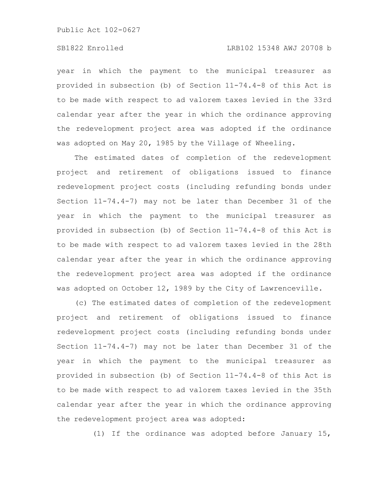# SB1822 Enrolled LRB102 15348 AWJ 20708 b

year in which the payment to the municipal treasurer as provided in subsection (b) of Section 11-74.4-8 of this Act is to be made with respect to ad valorem taxes levied in the 33rd calendar year after the year in which the ordinance approving the redevelopment project area was adopted if the ordinance was adopted on May 20, 1985 by the Village of Wheeling.

The estimated dates of completion of the redevelopment project and retirement of obligations issued to finance redevelopment project costs (including refunding bonds under Section 11-74.4-7) may not be later than December 31 of the year in which the payment to the municipal treasurer as provided in subsection (b) of Section 11-74.4-8 of this Act is to be made with respect to ad valorem taxes levied in the 28th calendar year after the year in which the ordinance approving the redevelopment project area was adopted if the ordinance was adopted on October 12, 1989 by the City of Lawrenceville.

(c) The estimated dates of completion of the redevelopment project and retirement of obligations issued to finance redevelopment project costs (including refunding bonds under Section 11-74.4-7) may not be later than December 31 of the year in which the payment to the municipal treasurer as provided in subsection (b) of Section 11-74.4-8 of this Act is to be made with respect to ad valorem taxes levied in the 35th calendar year after the year in which the ordinance approving the redevelopment project area was adopted:

(1) If the ordinance was adopted before January 15,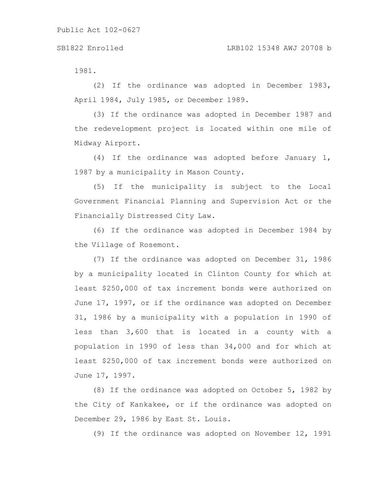1981.

(2) If the ordinance was adopted in December 1983, April 1984, July 1985, or December 1989.

(3) If the ordinance was adopted in December 1987 and the redevelopment project is located within one mile of Midway Airport.

(4) If the ordinance was adopted before January 1, 1987 by a municipality in Mason County.

(5) If the municipality is subject to the Local Government Financial Planning and Supervision Act or the Financially Distressed City Law.

(6) If the ordinance was adopted in December 1984 by the Village of Rosemont.

(7) If the ordinance was adopted on December 31, 1986 by a municipality located in Clinton County for which at least \$250,000 of tax increment bonds were authorized on June 17, 1997, or if the ordinance was adopted on December 31, 1986 by a municipality with a population in 1990 of less than 3,600 that is located in a county with a population in 1990 of less than 34,000 and for which at least \$250,000 of tax increment bonds were authorized on June 17, 1997.

(8) If the ordinance was adopted on October 5, 1982 by the City of Kankakee, or if the ordinance was adopted on December 29, 1986 by East St. Louis.

(9) If the ordinance was adopted on November 12, 1991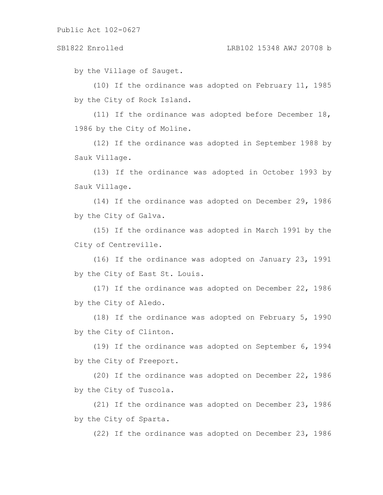by the Village of Sauget.

(10) If the ordinance was adopted on February 11, 1985 by the City of Rock Island.

(11) If the ordinance was adopted before December 18, 1986 by the City of Moline.

(12) If the ordinance was adopted in September 1988 by Sauk Village.

(13) If the ordinance was adopted in October 1993 by Sauk Village.

(14) If the ordinance was adopted on December 29, 1986 by the City of Galva.

(15) If the ordinance was adopted in March 1991 by the City of Centreville.

(16) If the ordinance was adopted on January 23, 1991 by the City of East St. Louis.

(17) If the ordinance was adopted on December 22, 1986 by the City of Aledo.

(18) If the ordinance was adopted on February 5, 1990 by the City of Clinton.

(19) If the ordinance was adopted on September 6, 1994 by the City of Freeport.

(20) If the ordinance was adopted on December 22, 1986 by the City of Tuscola.

(21) If the ordinance was adopted on December 23, 1986 by the City of Sparta.

(22) If the ordinance was adopted on December 23, 1986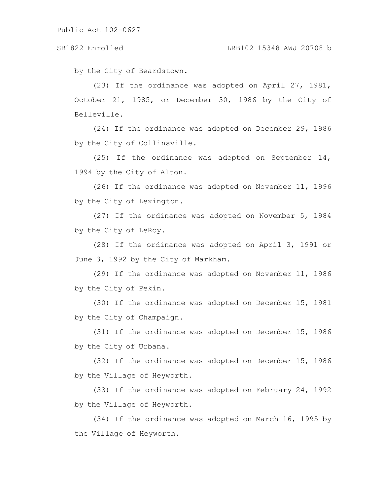by the City of Beardstown.

(23) If the ordinance was adopted on April 27, 1981, October 21, 1985, or December 30, 1986 by the City of Belleville.

(24) If the ordinance was adopted on December 29, 1986 by the City of Collinsville.

(25) If the ordinance was adopted on September 14, 1994 by the City of Alton.

(26) If the ordinance was adopted on November 11, 1996 by the City of Lexington.

(27) If the ordinance was adopted on November 5, 1984 by the City of LeRoy.

(28) If the ordinance was adopted on April 3, 1991 or June 3, 1992 by the City of Markham.

(29) If the ordinance was adopted on November 11, 1986 by the City of Pekin.

(30) If the ordinance was adopted on December 15, 1981 by the City of Champaign.

(31) If the ordinance was adopted on December 15, 1986 by the City of Urbana.

(32) If the ordinance was adopted on December 15, 1986 by the Village of Heyworth.

(33) If the ordinance was adopted on February 24, 1992 by the Village of Heyworth.

(34) If the ordinance was adopted on March 16, 1995 by the Village of Heyworth.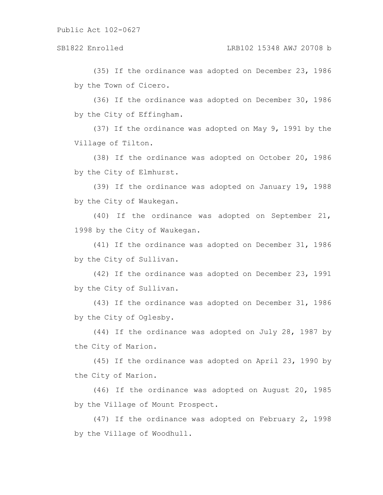(35) If the ordinance was adopted on December 23, 1986 by the Town of Cicero.

(36) If the ordinance was adopted on December 30, 1986 by the City of Effingham.

(37) If the ordinance was adopted on May 9, 1991 by the Village of Tilton.

(38) If the ordinance was adopted on October 20, 1986 by the City of Elmhurst.

(39) If the ordinance was adopted on January 19, 1988 by the City of Waukegan.

(40) If the ordinance was adopted on September 21, 1998 by the City of Waukegan.

(41) If the ordinance was adopted on December 31, 1986 by the City of Sullivan.

(42) If the ordinance was adopted on December 23, 1991 by the City of Sullivan.

(43) If the ordinance was adopted on December 31, 1986 by the City of Oglesby.

(44) If the ordinance was adopted on July 28, 1987 by the City of Marion.

(45) If the ordinance was adopted on April 23, 1990 by the City of Marion.

(46) If the ordinance was adopted on August 20, 1985 by the Village of Mount Prospect.

(47) If the ordinance was adopted on February 2, 1998 by the Village of Woodhull.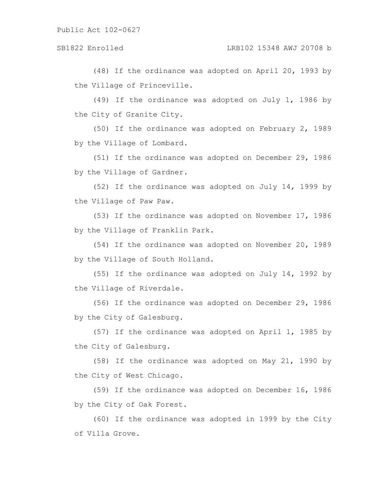(48) If the ordinance was adopted on April 20, 1993 by the Village of Princeville.

(49) If the ordinance was adopted on July 1, 1986 by the City of Granite City.

(50) If the ordinance was adopted on February 2, 1989 by the Village of Lombard.

(51) If the ordinance was adopted on December 29, 1986 by the Village of Gardner.

(52) If the ordinance was adopted on July 14, 1999 by the Village of Paw Paw.

(53) If the ordinance was adopted on November 17, 1986 by the Village of Franklin Park.

(54) If the ordinance was adopted on November 20, 1989 by the Village of South Holland.

(55) If the ordinance was adopted on July 14, 1992 by the Village of Riverdale.

(56) If the ordinance was adopted on December 29, 1986 by the City of Galesburg.

(57) If the ordinance was adopted on April 1, 1985 by the City of Galesburg.

(58) If the ordinance was adopted on May 21, 1990 by the City of West Chicago.

(59) If the ordinance was adopted on December 16, 1986 by the City of Oak Forest.

(60) If the ordinance was adopted in 1999 by the City of Villa Grove.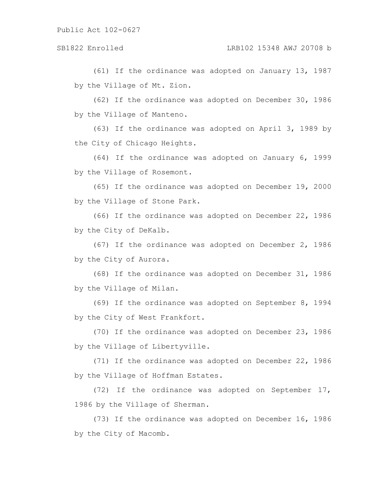(61) If the ordinance was adopted on January 13, 1987 by the Village of Mt. Zion.

(62) If the ordinance was adopted on December 30, 1986 by the Village of Manteno.

(63) If the ordinance was adopted on April 3, 1989 by the City of Chicago Heights.

(64) If the ordinance was adopted on January 6, 1999 by the Village of Rosemont.

(65) If the ordinance was adopted on December 19, 2000 by the Village of Stone Park.

(66) If the ordinance was adopted on December 22, 1986 by the City of DeKalb.

(67) If the ordinance was adopted on December 2, 1986 by the City of Aurora.

(68) If the ordinance was adopted on December 31, 1986 by the Village of Milan.

(69) If the ordinance was adopted on September 8, 1994 by the City of West Frankfort.

(70) If the ordinance was adopted on December 23, 1986 by the Village of Libertyville.

(71) If the ordinance was adopted on December 22, 1986 by the Village of Hoffman Estates.

(72) If the ordinance was adopted on September 17, 1986 by the Village of Sherman.

(73) If the ordinance was adopted on December 16, 1986 by the City of Macomb.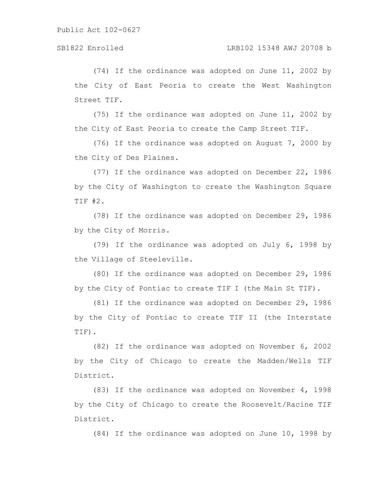(74) If the ordinance was adopted on June 11, 2002 by the City of East Peoria to create the West Washington Street TIF.

(75) If the ordinance was adopted on June 11, 2002 by the City of East Peoria to create the Camp Street TIF.

(76) If the ordinance was adopted on August 7, 2000 by the City of Des Plaines.

(77) If the ordinance was adopted on December 22, 1986 by the City of Washington to create the Washington Square TIF #2.

(78) If the ordinance was adopted on December 29, 1986 by the City of Morris.

(79) If the ordinance was adopted on July 6, 1998 by the Village of Steeleville.

(80) If the ordinance was adopted on December 29, 1986 by the City of Pontiac to create TIF I (the Main St TIF).

(81) If the ordinance was adopted on December 29, 1986 by the City of Pontiac to create TIF II (the Interstate TIF).

(82) If the ordinance was adopted on November 6, 2002 by the City of Chicago to create the Madden/Wells TIF District.

(83) If the ordinance was adopted on November 4, 1998 by the City of Chicago to create the Roosevelt/Racine TIF District.

(84) If the ordinance was adopted on June 10, 1998 by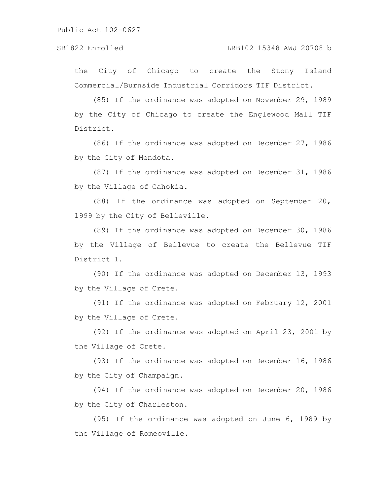the City of Chicago to create the Stony Island Commercial/Burnside Industrial Corridors TIF District.

(85) If the ordinance was adopted on November 29, 1989 by the City of Chicago to create the Englewood Mall TIF District.

(86) If the ordinance was adopted on December 27, 1986 by the City of Mendota.

(87) If the ordinance was adopted on December 31, 1986 by the Village of Cahokia.

(88) If the ordinance was adopted on September 20, 1999 by the City of Belleville.

(89) If the ordinance was adopted on December 30, 1986 by the Village of Bellevue to create the Bellevue TIF District 1.

(90) If the ordinance was adopted on December 13, 1993 by the Village of Crete.

(91) If the ordinance was adopted on February 12, 2001 by the Village of Crete.

(92) If the ordinance was adopted on April 23, 2001 by the Village of Crete.

(93) If the ordinance was adopted on December 16, 1986 by the City of Champaign.

(94) If the ordinance was adopted on December 20, 1986 by the City of Charleston.

(95) If the ordinance was adopted on June 6, 1989 by the Village of Romeoville.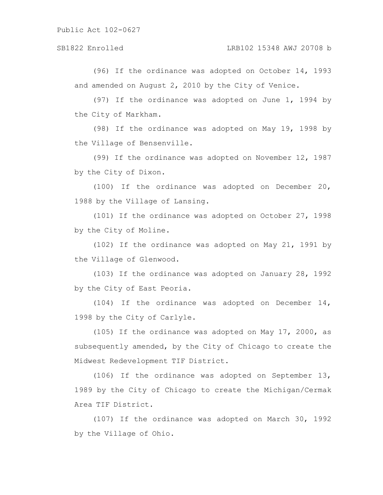(96) If the ordinance was adopted on October 14, 1993 and amended on August 2, 2010 by the City of Venice.

(97) If the ordinance was adopted on June 1, 1994 by the City of Markham.

(98) If the ordinance was adopted on May 19, 1998 by the Village of Bensenville.

(99) If the ordinance was adopted on November 12, 1987 by the City of Dixon.

(100) If the ordinance was adopted on December 20, 1988 by the Village of Lansing.

(101) If the ordinance was adopted on October 27, 1998 by the City of Moline.

(102) If the ordinance was adopted on May 21, 1991 by the Village of Glenwood.

(103) If the ordinance was adopted on January 28, 1992 by the City of East Peoria.

(104) If the ordinance was adopted on December  $14$ , 1998 by the City of Carlyle.

(105) If the ordinance was adopted on May 17, 2000, as subsequently amended, by the City of Chicago to create the Midwest Redevelopment TIF District.

(106) If the ordinance was adopted on September 13, 1989 by the City of Chicago to create the Michigan/Cermak Area TIF District.

(107) If the ordinance was adopted on March 30, 1992 by the Village of Ohio.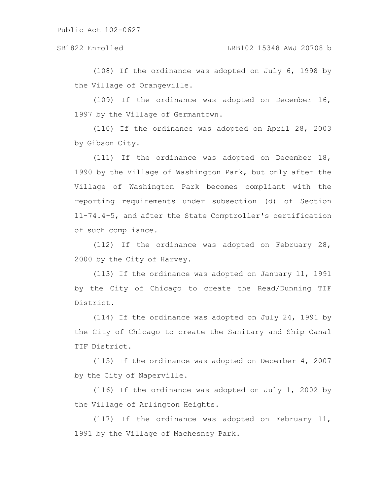(108) If the ordinance was adopted on July 6, 1998 by the Village of Orangeville.

(109) If the ordinance was adopted on December 16, 1997 by the Village of Germantown.

(110) If the ordinance was adopted on April 28, 2003 by Gibson City.

(111) If the ordinance was adopted on December 18, 1990 by the Village of Washington Park, but only after the Village of Washington Park becomes compliant with the reporting requirements under subsection (d) of Section 11-74.4-5, and after the State Comptroller's certification of such compliance.

(112) If the ordinance was adopted on February 28, 2000 by the City of Harvey.

(113) If the ordinance was adopted on January 11, 1991 by the City of Chicago to create the Read/Dunning TIF District.

(114) If the ordinance was adopted on July 24, 1991 by the City of Chicago to create the Sanitary and Ship Canal TIF District.

(115) If the ordinance was adopted on December 4, 2007 by the City of Naperville.

(116) If the ordinance was adopted on July 1, 2002 by the Village of Arlington Heights.

(117) If the ordinance was adopted on February 11, 1991 by the Village of Machesney Park.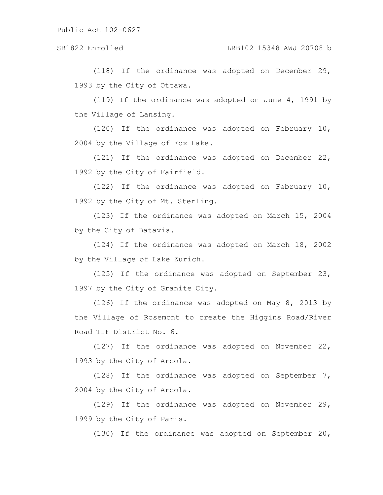### SB1822 Enrolled LRB102 15348 AWJ 20708 b

(118) If the ordinance was adopted on December 29, 1993 by the City of Ottawa.

(119) If the ordinance was adopted on June 4, 1991 by the Village of Lansing.

(120) If the ordinance was adopted on February 10, 2004 by the Village of Fox Lake.

(121) If the ordinance was adopted on December 22, 1992 by the City of Fairfield.

(122) If the ordinance was adopted on February 10, 1992 by the City of Mt. Sterling.

(123) If the ordinance was adopted on March 15, 2004 by the City of Batavia.

(124) If the ordinance was adopted on March 18, 2002 by the Village of Lake Zurich.

(125) If the ordinance was adopted on September 23, 1997 by the City of Granite City.

(126) If the ordinance was adopted on May 8, 2013 by the Village of Rosemont to create the Higgins Road/River Road TIF District No. 6.

(127) If the ordinance was adopted on November 22, 1993 by the City of Arcola.

(128) If the ordinance was adopted on September 7, 2004 by the City of Arcola.

(129) If the ordinance was adopted on November 29, 1999 by the City of Paris.

(130) If the ordinance was adopted on September 20,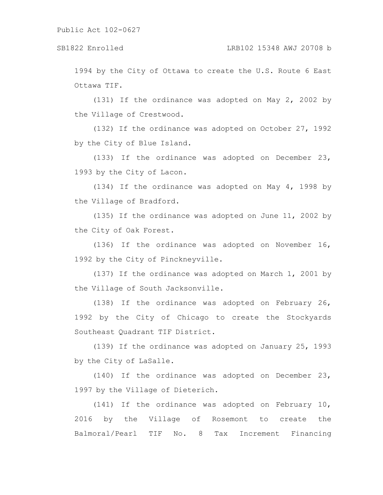1994 by the City of Ottawa to create the U.S. Route 6 East Ottawa TIF.

(131) If the ordinance was adopted on May 2, 2002 by the Village of Crestwood.

(132) If the ordinance was adopted on October 27, 1992 by the City of Blue Island.

(133) If the ordinance was adopted on December 23, 1993 by the City of Lacon.

(134) If the ordinance was adopted on May 4, 1998 by the Village of Bradford.

(135) If the ordinance was adopted on June 11, 2002 by the City of Oak Forest.

(136) If the ordinance was adopted on November 16, 1992 by the City of Pinckneyville.

(137) If the ordinance was adopted on March 1, 2001 by the Village of South Jacksonville.

(138) If the ordinance was adopted on February 26, 1992 by the City of Chicago to create the Stockyards Southeast Quadrant TIF District.

(139) If the ordinance was adopted on January 25, 1993 by the City of LaSalle.

(140) If the ordinance was adopted on December 23, 1997 by the Village of Dieterich.

(141) If the ordinance was adopted on February 10, 2016 by the Village of Rosemont to create the Balmoral/Pearl TIF No. 8 Tax Increment Financing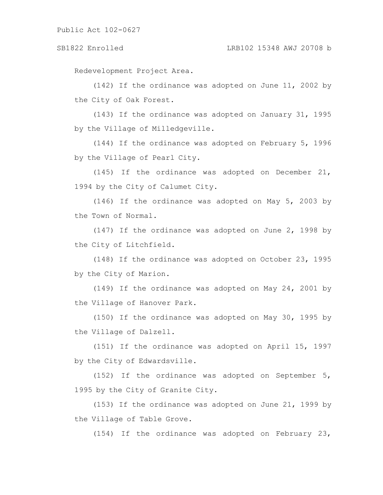Redevelopment Project Area.

(142) If the ordinance was adopted on June 11, 2002 by the City of Oak Forest.

(143) If the ordinance was adopted on January 31, 1995 by the Village of Milledgeville.

(144) If the ordinance was adopted on February 5, 1996 by the Village of Pearl City.

(145) If the ordinance was adopted on December 21, 1994 by the City of Calumet City.

(146) If the ordinance was adopted on May 5, 2003 by the Town of Normal.

(147) If the ordinance was adopted on June 2, 1998 by the City of Litchfield.

(148) If the ordinance was adopted on October 23, 1995 by the City of Marion.

(149) If the ordinance was adopted on May 24, 2001 by the Village of Hanover Park.

(150) If the ordinance was adopted on May 30, 1995 by the Village of Dalzell.

(151) If the ordinance was adopted on April 15, 1997 by the City of Edwardsville.

(152) If the ordinance was adopted on September 5, 1995 by the City of Granite City.

(153) If the ordinance was adopted on June 21, 1999 by the Village of Table Grove.

(154) If the ordinance was adopted on February 23,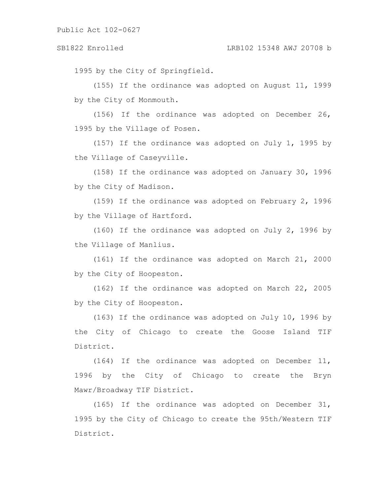1995 by the City of Springfield.

(155) If the ordinance was adopted on August 11, 1999 by the City of Monmouth.

(156) If the ordinance was adopted on December 26, 1995 by the Village of Posen.

(157) If the ordinance was adopted on July 1, 1995 by the Village of Caseyville.

(158) If the ordinance was adopted on January 30, 1996 by the City of Madison.

(159) If the ordinance was adopted on February 2, 1996 by the Village of Hartford.

(160) If the ordinance was adopted on July 2, 1996 by the Village of Manlius.

(161) If the ordinance was adopted on March 21, 2000 by the City of Hoopeston.

(162) If the ordinance was adopted on March 22, 2005 by the City of Hoopeston.

(163) If the ordinance was adopted on July 10, 1996 by the City of Chicago to create the Goose Island TIF District.

(164) If the ordinance was adopted on December 11, 1996 by the City of Chicago to create the Bryn Mawr/Broadway TIF District.

(165) If the ordinance was adopted on December 31, 1995 by the City of Chicago to create the 95th/Western TIF District.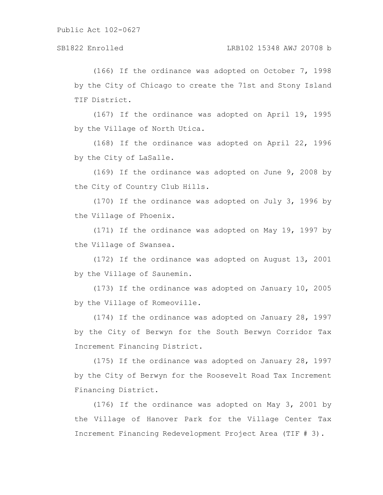(166) If the ordinance was adopted on October 7, 1998 by the City of Chicago to create the 71st and Stony Island TIF District.

(167) If the ordinance was adopted on April 19, 1995 by the Village of North Utica.

(168) If the ordinance was adopted on April 22, 1996 by the City of LaSalle.

(169) If the ordinance was adopted on June 9, 2008 by the City of Country Club Hills.

(170) If the ordinance was adopted on July 3, 1996 by the Village of Phoenix.

(171) If the ordinance was adopted on May 19, 1997 by the Village of Swansea.

(172) If the ordinance was adopted on August 13, 2001 by the Village of Saunemin.

(173) If the ordinance was adopted on January 10, 2005 by the Village of Romeoville.

(174) If the ordinance was adopted on January 28, 1997 by the City of Berwyn for the South Berwyn Corridor Tax Increment Financing District.

(175) If the ordinance was adopted on January 28, 1997 by the City of Berwyn for the Roosevelt Road Tax Increment Financing District.

(176) If the ordinance was adopted on May 3, 2001 by the Village of Hanover Park for the Village Center Tax Increment Financing Redevelopment Project Area (TIF # 3).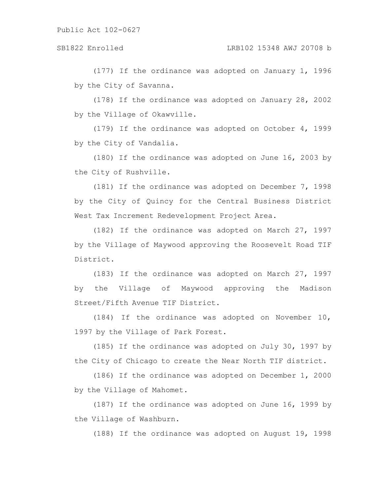# SB1822 Enrolled LRB102 15348 AWJ 20708 b

(177) If the ordinance was adopted on January 1, 1996 by the City of Savanna.

(178) If the ordinance was adopted on January 28, 2002 by the Village of Okawville.

(179) If the ordinance was adopted on October 4, 1999 by the City of Vandalia.

(180) If the ordinance was adopted on June 16, 2003 by the City of Rushville.

(181) If the ordinance was adopted on December 7, 1998 by the City of Quincy for the Central Business District West Tax Increment Redevelopment Project Area.

(182) If the ordinance was adopted on March 27, 1997 by the Village of Maywood approving the Roosevelt Road TIF District.

(183) If the ordinance was adopted on March 27, 1997 by the Village of Maywood approving the Madison Street/Fifth Avenue TIF District.

(184) If the ordinance was adopted on November 10, 1997 by the Village of Park Forest.

(185) If the ordinance was adopted on July 30, 1997 by the City of Chicago to create the Near North TIF district.

(186) If the ordinance was adopted on December 1, 2000 by the Village of Mahomet.

(187) If the ordinance was adopted on June 16, 1999 by the Village of Washburn.

(188) If the ordinance was adopted on August 19, 1998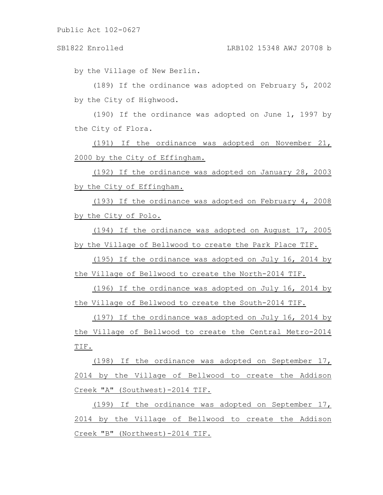by the Village of New Berlin.

(189) If the ordinance was adopted on February 5, 2002 by the City of Highwood.

(190) If the ordinance was adopted on June 1, 1997 by the City of Flora.

(191) If the ordinance was adopted on November 21, 2000 by the City of Effingham.

(192) If the ordinance was adopted on January 28, 2003 by the City of Effingham.

(193) If the ordinance was adopted on February 4, 2008 by the City of Polo.

(194) If the ordinance was adopted on August 17, 2005 by the Village of Bellwood to create the Park Place TIF.

(195) If the ordinance was adopted on July 16, 2014 by the Village of Bellwood to create the North-2014 TIF.

(196) If the ordinance was adopted on July 16, 2014 by the Village of Bellwood to create the South-2014 TIF.

(197) If the ordinance was adopted on July 16, 2014 by the Village of Bellwood to create the Central Metro-2014 TIF.

(198) If the ordinance was adopted on September 17, 2014 by the Village of Bellwood to create the Addison Creek "A" (Southwest)-2014 TIF.

(199) If the ordinance was adopted on September 17, 2014 by the Village of Bellwood to create the Addison Creek "B" (Northwest)-2014 TIF.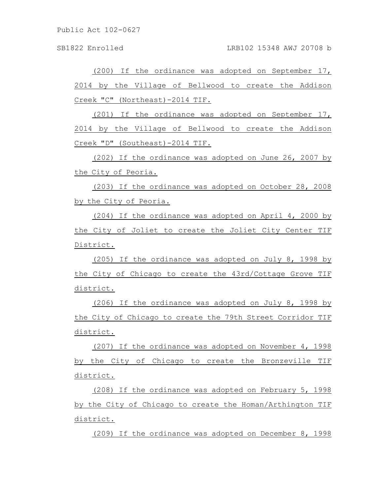SB1822 Enrolled LRB102 15348 AWJ 20708 b

(200) If the ordinance was adopted on September 17, 2014 by the Village of Bellwood to create the Addison Creek "C" (Northeast)-2014 TIF.

(201) If the ordinance was adopted on September 17, 2014 by the Village of Bellwood to create the Addison Creek "D" (Southeast)-2014 TIF.

(202) If the ordinance was adopted on June 26, 2007 by the City of Peoria.

(203) If the ordinance was adopted on October 28, 2008 by the City of Peoria.

(204) If the ordinance was adopted on April 4, 2000 by the City of Joliet to create the Joliet City Center TIF District.

(205) If the ordinance was adopted on July 8, 1998 by the City of Chicago to create the 43rd/Cottage Grove TIF district.

(206) If the ordinance was adopted on July 8, 1998 by the City of Chicago to create the 79th Street Corridor TIF district.

(207) If the ordinance was adopted on November 4, 1998 by the City of Chicago to create the Bronzeville TIF district.

(208) If the ordinance was adopted on February 5, 1998 by the City of Chicago to create the Homan/Arthington TIF district.

(209) If the ordinance was adopted on December 8, 1998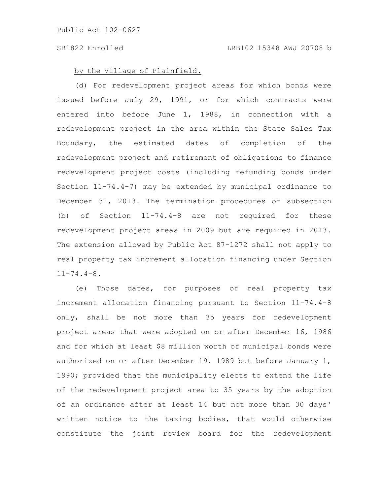### by the Village of Plainfield.

(d) For redevelopment project areas for which bonds were issued before July 29, 1991, or for which contracts were entered into before June 1, 1988, in connection with a redevelopment project in the area within the State Sales Tax Boundary, the estimated dates of completion of the redevelopment project and retirement of obligations to finance redevelopment project costs (including refunding bonds under Section 11-74.4-7) may be extended by municipal ordinance to December 31, 2013. The termination procedures of subsection (b) of Section 11-74.4-8 are not required for these redevelopment project areas in 2009 but are required in 2013. The extension allowed by Public Act 87-1272 shall not apply to real property tax increment allocation financing under Section  $11 - 74.4 - 8.$ 

(e) Those dates, for purposes of real property tax increment allocation financing pursuant to Section 11-74.4-8 only, shall be not more than 35 years for redevelopment project areas that were adopted on or after December 16, 1986 and for which at least \$8 million worth of municipal bonds were authorized on or after December 19, 1989 but before January 1, 1990; provided that the municipality elects to extend the life of the redevelopment project area to 35 years by the adoption of an ordinance after at least 14 but not more than 30 days' written notice to the taxing bodies, that would otherwise constitute the joint review board for the redevelopment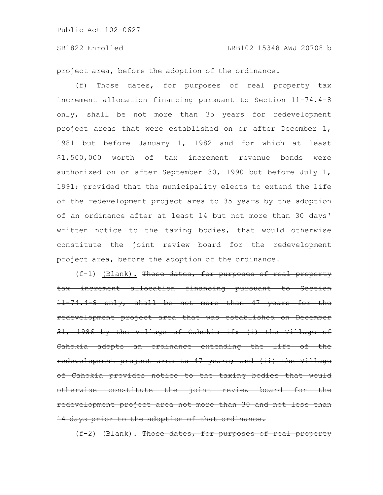project area, before the adoption of the ordinance.

(f) Those dates, for purposes of real property tax increment allocation financing pursuant to Section 11-74.4-8 only, shall be not more than 35 years for redevelopment project areas that were established on or after December 1, 1981 but before January 1, 1982 and for which at least \$1,500,000 worth of tax increment revenue bonds were authorized on or after September 30, 1990 but before July 1, 1991; provided that the municipality elects to extend the life of the redevelopment project area to 35 years by the adoption of an ordinance after at least 14 but not more than 30 days' written notice to the taxing bodies, that would otherwise constitute the joint review board for the redevelopment project area, before the adoption of the ordinance.

(f-1) (Blank). Those dates, for purposes of real property tax increment allocation financing pursuant 11-74.4-8 only, shall be not more than 47 years for the redevelopment project area that was established on December 31, 1986 by the Village of Cahokia if: (i) the Village of Cahokia adopts an ordinance extending the life of the redevelopment project area to 47 years; and (ii) the Village of Cahokia provides notice to the taxing bodies that would otherwise constitute the joint review board for the redevelopment project area not more than 30 and not less than 14 days prior to the adoption of that ordinance.

 $(f-2)$  (Blank). Those dates, for purposes of real property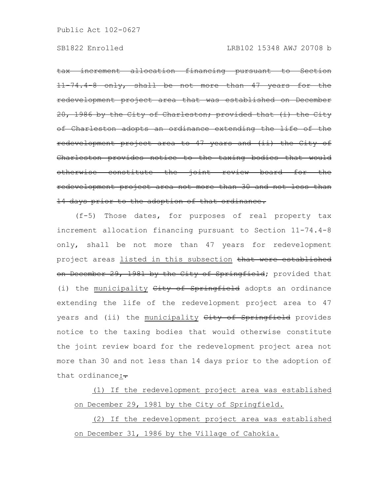tax increment allocation financing pursuant to Section 11-74.4-8 only, shall be not more than 47 years for the redevelopment project area that was established on December 20, 1986 by the City of Charleston; provided that (i) the of Charleston adopts an ordinance extending the life of redevelopment project area to 47 years and (ii) the City of Charleston provides notice to the taxing bodies that would otherwise constitute the joint review board for the redevelopment project area not more than 30 and not less than 14 days prior to the adoption of that ordinance.

(f-5) Those dates, for purposes of real property tax increment allocation financing pursuant to Section 11-74.4-8 only, shall be not more than 47 years for redevelopment project areas listed in this subsection that were established on December 29, 1981 by the City of Springfield; provided that (i) the municipality  $City$  of Springfield adopts an ordinance extending the life of the redevelopment project area to 47 years and (ii) the municipality City of Springfield provides notice to the taxing bodies that would otherwise constitute the joint review board for the redevelopment project area not more than 30 and not less than 14 days prior to the adoption of that ordinance: $\div$ 

(1) If the redevelopment project area was established on December 29, 1981 by the City of Springfield.

(2) If the redevelopment project area was established on December 31, 1986 by the Village of Cahokia.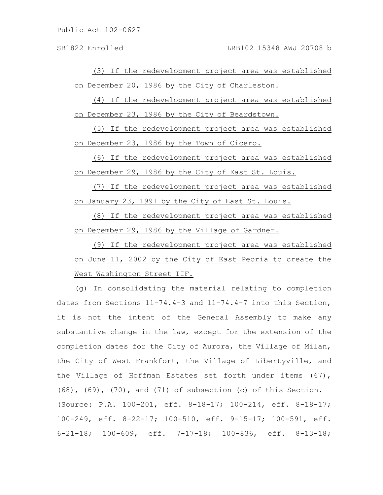(3) If the redevelopment project area was established on December 20, 1986 by the City of Charleston.

(4) If the redevelopment project area was established on December 23, 1986 by the City of Beardstown.

(5) If the redevelopment project area was established on December 23, 1986 by the Town of Cicero.

(6) If the redevelopment project area was established on December 29, 1986 by the City of East St. Louis.

(7) If the redevelopment project area was established on January 23, 1991 by the City of East St. Louis.

(8) If the redevelopment project area was established on December 29, 1986 by the Village of Gardner.

(9) If the redevelopment project area was established on June 11, 2002 by the City of East Peoria to create the West Washington Street TIF.

(g) In consolidating the material relating to completion dates from Sections 11-74.4-3 and 11-74.4-7 into this Section, it is not the intent of the General Assembly to make any substantive change in the law, except for the extension of the completion dates for the City of Aurora, the Village of Milan, the City of West Frankfort, the Village of Libertyville, and the Village of Hoffman Estates set forth under items (67), (68), (69), (70), and (71) of subsection (c) of this Section. (Source: P.A. 100-201, eff. 8-18-17; 100-214, eff. 8-18-17; 100-249, eff. 8-22-17; 100-510, eff. 9-15-17; 100-591, eff. 6-21-18; 100-609, eff. 7-17-18; 100-836, eff. 8-13-18;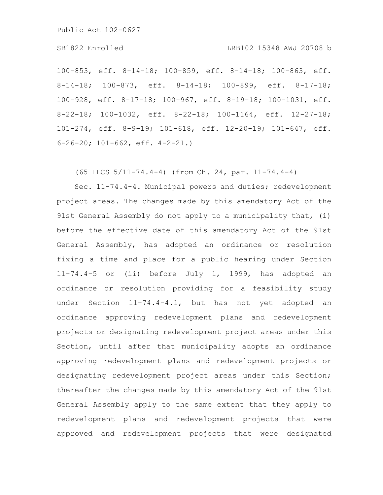# SB1822 Enrolled LRB102 15348 AWJ 20708 b

100-853, eff. 8-14-18; 100-859, eff. 8-14-18; 100-863, eff. 8-14-18; 100-873, eff. 8-14-18; 100-899, eff. 8-17-18; 100-928, eff. 8-17-18; 100-967, eff. 8-19-18; 100-1031, eff. 8-22-18; 100-1032, eff. 8-22-18; 100-1164, eff. 12-27-18; 101-274, eff. 8-9-19; 101-618, eff. 12-20-19; 101-647, eff. 6-26-20; 101-662, eff. 4-2-21.)

(65 ILCS 5/11-74.4-4) (from Ch. 24, par. 11-74.4-4)

Sec. 11-74.4-4. Municipal powers and duties; redevelopment project areas. The changes made by this amendatory Act of the 91st General Assembly do not apply to a municipality that, (i) before the effective date of this amendatory Act of the 91st General Assembly, has adopted an ordinance or resolution fixing a time and place for a public hearing under Section 11-74.4-5 or (ii) before July 1, 1999, has adopted an ordinance or resolution providing for a feasibility study under Section 11-74.4-4.1, but has not yet adopted an ordinance approving redevelopment plans and redevelopment projects or designating redevelopment project areas under this Section, until after that municipality adopts an ordinance approving redevelopment plans and redevelopment projects or designating redevelopment project areas under this Section; thereafter the changes made by this amendatory Act of the 91st General Assembly apply to the same extent that they apply to redevelopment plans and redevelopment projects that were approved and redevelopment projects that were designated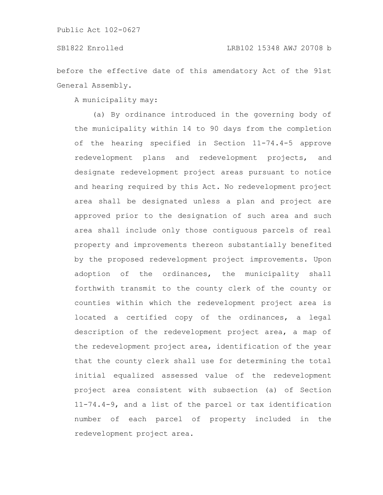before the effective date of this amendatory Act of the 91st General Assembly.

A municipality may:

(a) By ordinance introduced in the governing body of the municipality within 14 to 90 days from the completion of the hearing specified in Section 11-74.4-5 approve redevelopment plans and redevelopment projects, and designate redevelopment project areas pursuant to notice and hearing required by this Act. No redevelopment project area shall be designated unless a plan and project are approved prior to the designation of such area and such area shall include only those contiguous parcels of real property and improvements thereon substantially benefited by the proposed redevelopment project improvements. Upon adoption of the ordinances, the municipality shall forthwith transmit to the county clerk of the county or counties within which the redevelopment project area is located a certified copy of the ordinances, a legal description of the redevelopment project area, a map of the redevelopment project area, identification of the year that the county clerk shall use for determining the total initial equalized assessed value of the redevelopment project area consistent with subsection (a) of Section 11-74.4-9, and a list of the parcel or tax identification number of each parcel of property included in the redevelopment project area.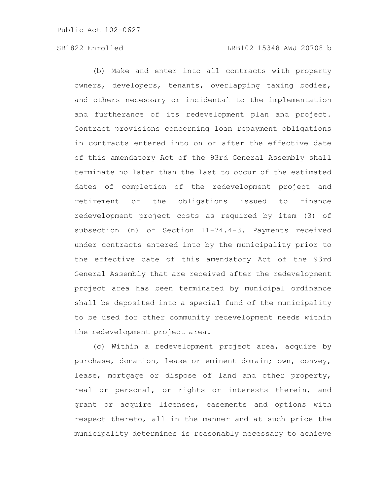(b) Make and enter into all contracts with property owners, developers, tenants, overlapping taxing bodies, and others necessary or incidental to the implementation and furtherance of its redevelopment plan and project. Contract provisions concerning loan repayment obligations in contracts entered into on or after the effective date of this amendatory Act of the 93rd General Assembly shall terminate no later than the last to occur of the estimated dates of completion of the redevelopment project and retirement of the obligations issued to finance redevelopment project costs as required by item (3) of subsection (n) of Section 11-74.4-3. Payments received under contracts entered into by the municipality prior to the effective date of this amendatory Act of the 93rd General Assembly that are received after the redevelopment project area has been terminated by municipal ordinance shall be deposited into a special fund of the municipality to be used for other community redevelopment needs within the redevelopment project area.

(c) Within a redevelopment project area, acquire by purchase, donation, lease or eminent domain; own, convey, lease, mortgage or dispose of land and other property, real or personal, or rights or interests therein, and grant or acquire licenses, easements and options with respect thereto, all in the manner and at such price the municipality determines is reasonably necessary to achieve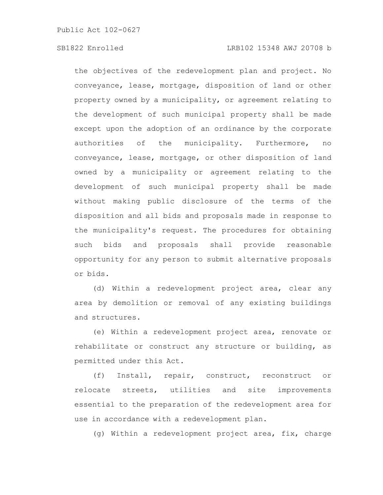the objectives of the redevelopment plan and project. No conveyance, lease, mortgage, disposition of land or other property owned by a municipality, or agreement relating to the development of such municipal property shall be made except upon the adoption of an ordinance by the corporate authorities of the municipality. Furthermore, no conveyance, lease, mortgage, or other disposition of land owned by a municipality or agreement relating to the development of such municipal property shall be made without making public disclosure of the terms of the disposition and all bids and proposals made in response to the municipality's request. The procedures for obtaining such bids and proposals shall provide reasonable opportunity for any person to submit alternative proposals or bids.

(d) Within a redevelopment project area, clear any area by demolition or removal of any existing buildings and structures.

(e) Within a redevelopment project area, renovate or rehabilitate or construct any structure or building, as permitted under this Act.

(f) Install, repair, construct, reconstruct or relocate streets, utilities and site improvements essential to the preparation of the redevelopment area for use in accordance with a redevelopment plan.

(g) Within a redevelopment project area, fix, charge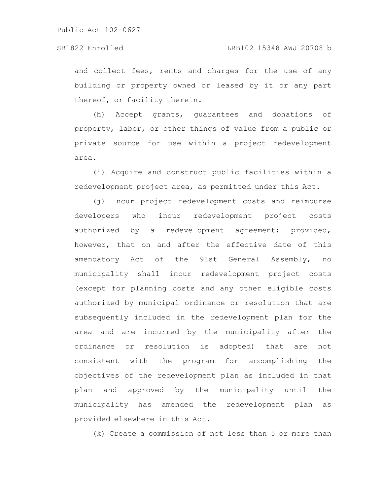and collect fees, rents and charges for the use of any building or property owned or leased by it or any part thereof, or facility therein.

(h) Accept grants, guarantees and donations of property, labor, or other things of value from a public or private source for use within a project redevelopment area.

(i) Acquire and construct public facilities within a redevelopment project area, as permitted under this Act.

(j) Incur project redevelopment costs and reimburse developers who incur redevelopment project costs authorized by a redevelopment agreement; provided, however, that on and after the effective date of this amendatory Act of the 91st General Assembly, no municipality shall incur redevelopment project costs (except for planning costs and any other eligible costs authorized by municipal ordinance or resolution that are subsequently included in the redevelopment plan for the area and are incurred by the municipality after the ordinance or resolution is adopted) that are not consistent with the program for accomplishing the objectives of the redevelopment plan as included in that plan and approved by the municipality until the municipality has amended the redevelopment plan as provided elsewhere in this Act.

(k) Create a commission of not less than 5 or more than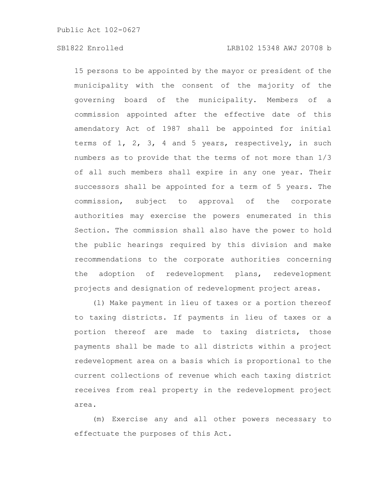15 persons to be appointed by the mayor or president of the municipality with the consent of the majority of the governing board of the municipality. Members of a commission appointed after the effective date of this amendatory Act of 1987 shall be appointed for initial terms of 1, 2, 3, 4 and 5 years, respectively, in such numbers as to provide that the terms of not more than 1/3 of all such members shall expire in any one year. Their successors shall be appointed for a term of 5 years. The commission, subject to approval of the corporate authorities may exercise the powers enumerated in this Section. The commission shall also have the power to hold the public hearings required by this division and make recommendations to the corporate authorities concerning the adoption of redevelopment plans, redevelopment projects and designation of redevelopment project areas.

(l) Make payment in lieu of taxes or a portion thereof to taxing districts. If payments in lieu of taxes or a portion thereof are made to taxing districts, those payments shall be made to all districts within a project redevelopment area on a basis which is proportional to the current collections of revenue which each taxing district receives from real property in the redevelopment project area.

(m) Exercise any and all other powers necessary to effectuate the purposes of this Act.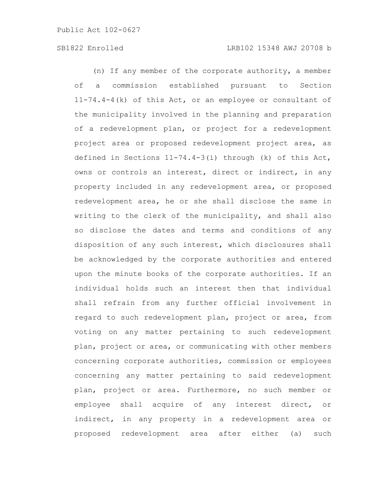(n) If any member of the corporate authority, a member of a commission established pursuant to Section 11-74.4-4(k) of this Act, or an employee or consultant of the municipality involved in the planning and preparation of a redevelopment plan, or project for a redevelopment project area or proposed redevelopment project area, as defined in Sections 11-74.4-3(i) through (k) of this Act, owns or controls an interest, direct or indirect, in any property included in any redevelopment area, or proposed redevelopment area, he or she shall disclose the same in writing to the clerk of the municipality, and shall also so disclose the dates and terms and conditions of any disposition of any such interest, which disclosures shall be acknowledged by the corporate authorities and entered upon the minute books of the corporate authorities. If an individual holds such an interest then that individual shall refrain from any further official involvement in regard to such redevelopment plan, project or area, from voting on any matter pertaining to such redevelopment plan, project or area, or communicating with other members concerning corporate authorities, commission or employees concerning any matter pertaining to said redevelopment plan, project or area. Furthermore, no such member or employee shall acquire of any interest direct, or indirect, in any property in a redevelopment area or proposed redevelopment area after either (a) such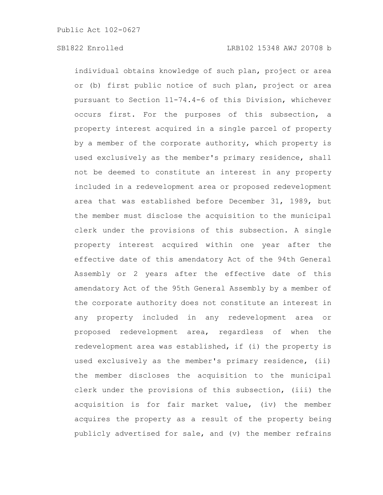individual obtains knowledge of such plan, project or area or (b) first public notice of such plan, project or area pursuant to Section 11-74.4-6 of this Division, whichever occurs first. For the purposes of this subsection, a property interest acquired in a single parcel of property by a member of the corporate authority, which property is used exclusively as the member's primary residence, shall not be deemed to constitute an interest in any property included in a redevelopment area or proposed redevelopment area that was established before December 31, 1989, but the member must disclose the acquisition to the municipal clerk under the provisions of this subsection. A single property interest acquired within one year after the effective date of this amendatory Act of the 94th General Assembly or 2 years after the effective date of this amendatory Act of the 95th General Assembly by a member of the corporate authority does not constitute an interest in any property included in any redevelopment area or proposed redevelopment area, regardless of when the redevelopment area was established, if (i) the property is used exclusively as the member's primary residence, (ii) the member discloses the acquisition to the municipal clerk under the provisions of this subsection, (iii) the acquisition is for fair market value, (iv) the member acquires the property as a result of the property being publicly advertised for sale, and (v) the member refrains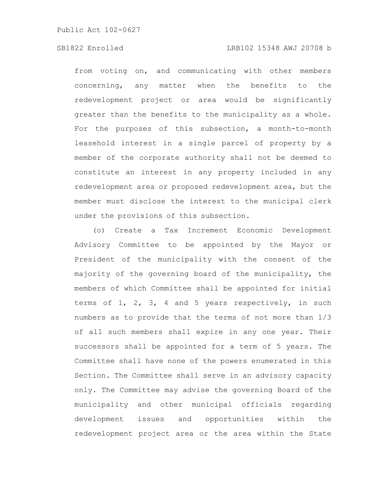# SB1822 Enrolled LRB102 15348 AWJ 20708 b

from voting on, and communicating with other members concerning, any matter when the benefits to the redevelopment project or area would be significantly greater than the benefits to the municipality as a whole. For the purposes of this subsection, a month-to-month leasehold interest in a single parcel of property by a member of the corporate authority shall not be deemed to constitute an interest in any property included in any redevelopment area or proposed redevelopment area, but the member must disclose the interest to the municipal clerk under the provisions of this subsection.

(o) Create a Tax Increment Economic Development Advisory Committee to be appointed by the Mayor or President of the municipality with the consent of the majority of the governing board of the municipality, the members of which Committee shall be appointed for initial terms of  $1, 2, 3, 4$  and 5 years respectively, in such numbers as to provide that the terms of not more than 1/3 of all such members shall expire in any one year. Their successors shall be appointed for a term of 5 years. The Committee shall have none of the powers enumerated in this Section. The Committee shall serve in an advisory capacity only. The Committee may advise the governing Board of the municipality and other municipal officials regarding development issues and opportunities within the redevelopment project area or the area within the State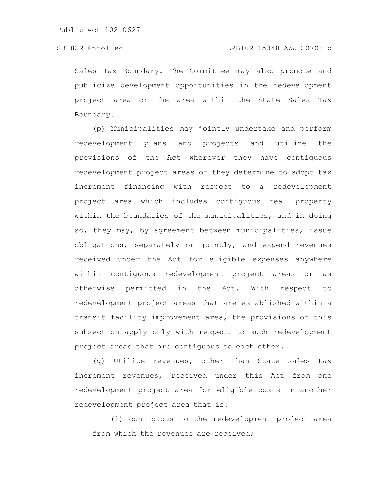Sales Tax Boundary. The Committee may also promote and publicize development opportunities in the redevelopment project area or the area within the State Sales Tax Boundary.

(p) Municipalities may jointly undertake and perform redevelopment plans and projects and utilize the provisions of the Act wherever they have contiguous redevelopment project areas or they determine to adopt tax increment financing with respect to a redevelopment project area which includes contiguous real property within the boundaries of the municipalities, and in doing so, they may, by agreement between municipalities, issue obligations, separately or jointly, and expend revenues received under the Act for eligible expenses anywhere within contiguous redevelopment project areas or as otherwise permitted in the Act. With respect to redevelopment project areas that are established within a transit facility improvement area, the provisions of this subsection apply only with respect to such redevelopment project areas that are contiguous to each other.

(q) Utilize revenues, other than State sales tax increment revenues, received under this Act from one redevelopment project area for eligible costs in another redevelopment project area that is:

(i) contiguous to the redevelopment project area from which the revenues are received;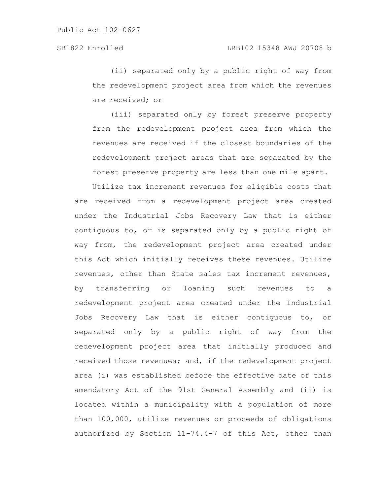(ii) separated only by a public right of way from the redevelopment project area from which the revenues are received; or

(iii) separated only by forest preserve property from the redevelopment project area from which the revenues are received if the closest boundaries of the redevelopment project areas that are separated by the forest preserve property are less than one mile apart.

Utilize tax increment revenues for eligible costs that are received from a redevelopment project area created under the Industrial Jobs Recovery Law that is either contiguous to, or is separated only by a public right of way from, the redevelopment project area created under this Act which initially receives these revenues. Utilize revenues, other than State sales tax increment revenues, by transferring or loaning such revenues to a redevelopment project area created under the Industrial Jobs Recovery Law that is either contiguous to, or separated only by a public right of way from the redevelopment project area that initially produced and received those revenues; and, if the redevelopment project area (i) was established before the effective date of this amendatory Act of the 91st General Assembly and (ii) is located within a municipality with a population of more than 100,000, utilize revenues or proceeds of obligations authorized by Section 11-74.4-7 of this Act, other than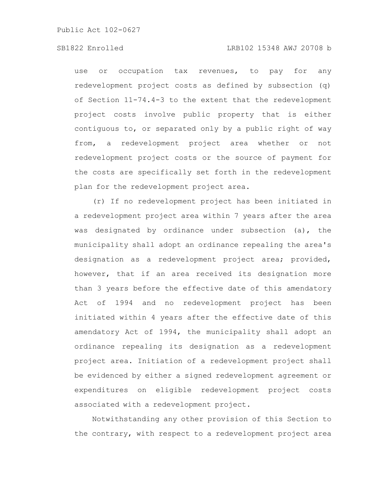# SB1822 Enrolled LRB102 15348 AWJ 20708 b

use or occupation tax revenues, to pay for any redevelopment project costs as defined by subsection (q) of Section 11-74.4-3 to the extent that the redevelopment project costs involve public property that is either contiguous to, or separated only by a public right of way from, a redevelopment project area whether or not redevelopment project costs or the source of payment for the costs are specifically set forth in the redevelopment plan for the redevelopment project area.

(r) If no redevelopment project has been initiated in a redevelopment project area within 7 years after the area was designated by ordinance under subsection (a), the municipality shall adopt an ordinance repealing the area's designation as a redevelopment project area; provided, however, that if an area received its designation more than 3 years before the effective date of this amendatory Act of 1994 and no redevelopment project has been initiated within 4 years after the effective date of this amendatory Act of 1994, the municipality shall adopt an ordinance repealing its designation as a redevelopment project area. Initiation of a redevelopment project shall be evidenced by either a signed redevelopment agreement or expenditures on eligible redevelopment project costs associated with a redevelopment project.

Notwithstanding any other provision of this Section to the contrary, with respect to a redevelopment project area